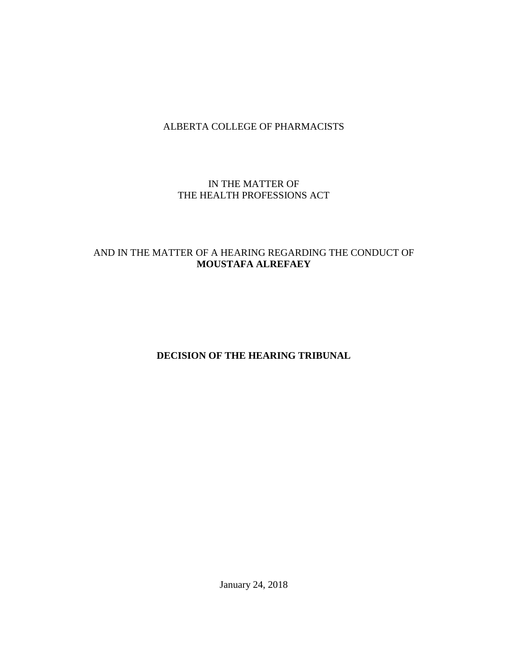# ALBERTA COLLEGE OF PHARMACISTS

## IN THE MATTER OF THE HEALTH PROFESSIONS ACT

# AND IN THE MATTER OF A HEARING REGARDING THE CONDUCT OF **MOUSTAFA ALREFAEY**

**DECISION OF THE HEARING TRIBUNAL**

January 24, 2018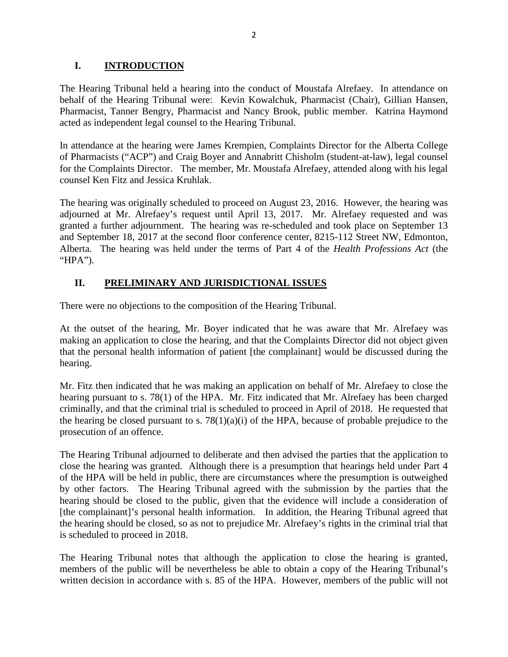## **I. INTRODUCTION**

The Hearing Tribunal held a hearing into the conduct of Moustafa Alrefaey. In attendance on behalf of the Hearing Tribunal were: Kevin Kowalchuk, Pharmacist (Chair), Gillian Hansen, Pharmacist, Tanner Bengry, Pharmacist and Nancy Brook, public member. Katrina Haymond acted as independent legal counsel to the Hearing Tribunal.

In attendance at the hearing were James Krempien, Complaints Director for the Alberta College of Pharmacists ("ACP") and Craig Boyer and Annabritt Chisholm (student-at-law), legal counsel for the Complaints Director. The member, Mr. Moustafa Alrefaey, attended along with his legal counsel Ken Fitz and Jessica Kruhlak.

The hearing was originally scheduled to proceed on August 23, 2016. However, the hearing was adjourned at Mr. Alrefaey's request until April 13, 2017. Mr. Alrefaey requested and was granted a further adjournment. The hearing was re-scheduled and took place on September 13 and September 18, 2017 at the second floor conference center, 8215-112 Street NW, Edmonton, Alberta. The hearing was held under the terms of Part 4 of the *Health Professions Act* (the "HPA").

# **II. PRELIMINARY AND JURISDICTIONAL ISSUES**

There were no objections to the composition of the Hearing Tribunal.

At the outset of the hearing, Mr. Boyer indicated that he was aware that Mr. Alrefaey was making an application to close the hearing, and that the Complaints Director did not object given that the personal health information of patient [the complainant] would be discussed during the hearing.

Mr. Fitz then indicated that he was making an application on behalf of Mr. Alrefaey to close the hearing pursuant to s. 78(1) of the HPA. Mr. Fitz indicated that Mr. Alrefaey has been charged criminally, and that the criminal trial is scheduled to proceed in April of 2018. He requested that the hearing be closed pursuant to s.  $78(1)(a)(i)$  of the HPA, because of probable prejudice to the prosecution of an offence.

The Hearing Tribunal adjourned to deliberate and then advised the parties that the application to close the hearing was granted. Although there is a presumption that hearings held under Part 4 of the HPA will be held in public, there are circumstances where the presumption is outweighed by other factors. The Hearing Tribunal agreed with the submission by the parties that the hearing should be closed to the public, given that the evidence will include a consideration of [the complainant]'s personal health information. In addition, the Hearing Tribunal agreed that the hearing should be closed, so as not to prejudice Mr. Alrefaey's rights in the criminal trial that is scheduled to proceed in 2018.

The Hearing Tribunal notes that although the application to close the hearing is granted, members of the public will be nevertheless be able to obtain a copy of the Hearing Tribunal's written decision in accordance with s. 85 of the HPA. However, members of the public will not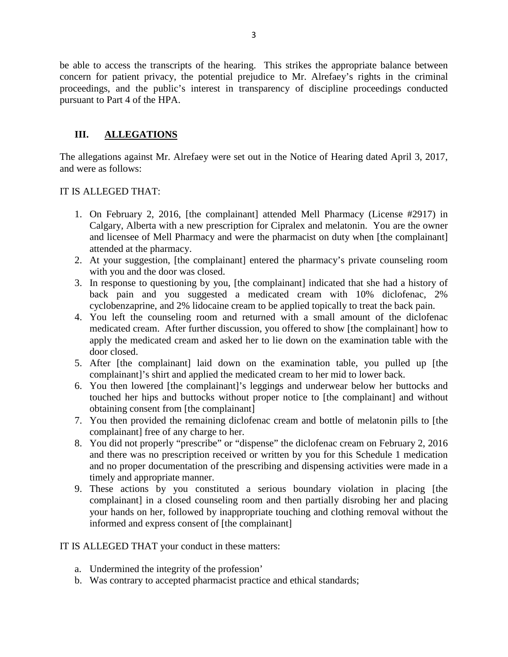be able to access the transcripts of the hearing. This strikes the appropriate balance between concern for patient privacy, the potential prejudice to Mr. Alrefaey's rights in the criminal proceedings, and the public's interest in transparency of discipline proceedings conducted pursuant to Part 4 of the HPA.

# **III. ALLEGATIONS**

The allegations against Mr. Alrefaey were set out in the Notice of Hearing dated April 3, 2017, and were as follows:

## IT IS ALLEGED THAT:

- 1. On February 2, 2016, [the complainant] attended Mell Pharmacy (License #2917) in Calgary, Alberta with a new prescription for Cipralex and melatonin. You are the owner and licensee of Mell Pharmacy and were the pharmacist on duty when [the complainant] attended at the pharmacy.
- 2. At your suggestion, [the complainant] entered the pharmacy's private counseling room with you and the door was closed.
- 3. In response to questioning by you, [the complainant] indicated that she had a history of back pain and you suggested a medicated cream with 10% diclofenac, 2% cyclobenzaprine, and 2% lidocaine cream to be applied topically to treat the back pain.
- 4. You left the counseling room and returned with a small amount of the diclofenac medicated cream. After further discussion, you offered to show [the complainant] how to apply the medicated cream and asked her to lie down on the examination table with the door closed.
- 5. After [the complainant] laid down on the examination table, you pulled up [the complainant]'s shirt and applied the medicated cream to her mid to lower back.
- 6. You then lowered [the complainant]'s leggings and underwear below her buttocks and touched her hips and buttocks without proper notice to [the complainant] and without obtaining consent from [the complainant]
- 7. You then provided the remaining diclofenac cream and bottle of melatonin pills to [the complainant] free of any charge to her.
- 8. You did not properly "prescribe" or "dispense" the diclofenac cream on February 2, 2016 and there was no prescription received or written by you for this Schedule 1 medication and no proper documentation of the prescribing and dispensing activities were made in a timely and appropriate manner.
- 9. These actions by you constituted a serious boundary violation in placing [the complainant] in a closed counseling room and then partially disrobing her and placing your hands on her, followed by inappropriate touching and clothing removal without the informed and express consent of [the complainant]

#### IT IS ALLEGED THAT your conduct in these matters:

- a. Undermined the integrity of the profession'
- b. Was contrary to accepted pharmacist practice and ethical standards;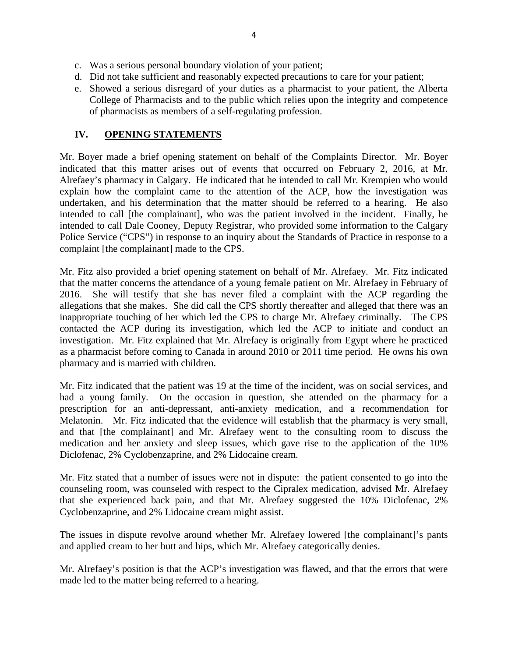- c. Was a serious personal boundary violation of your patient;
- d. Did not take sufficient and reasonably expected precautions to care for your patient;
- e. Showed a serious disregard of your duties as a pharmacist to your patient, the Alberta College of Pharmacists and to the public which relies upon the integrity and competence of pharmacists as members of a self-regulating profession.

### **IV. OPENING STATEMENTS**

Mr. Boyer made a brief opening statement on behalf of the Complaints Director. Mr. Boyer indicated that this matter arises out of events that occurred on February 2, 2016, at Mr. Alrefaey's pharmacy in Calgary. He indicated that he intended to call Mr. Krempien who would explain how the complaint came to the attention of the ACP, how the investigation was undertaken, and his determination that the matter should be referred to a hearing. He also intended to call [the complainant], who was the patient involved in the incident. Finally, he intended to call Dale Cooney, Deputy Registrar, who provided some information to the Calgary Police Service ("CPS") in response to an inquiry about the Standards of Practice in response to a complaint [the complainant] made to the CPS.

Mr. Fitz also provided a brief opening statement on behalf of Mr. Alrefaey. Mr. Fitz indicated that the matter concerns the attendance of a young female patient on Mr. Alrefaey in February of 2016. She will testify that she has never filed a complaint with the ACP regarding the allegations that she makes. She did call the CPS shortly thereafter and alleged that there was an inappropriate touching of her which led the CPS to charge Mr. Alrefaey criminally. The CPS contacted the ACP during its investigation, which led the ACP to initiate and conduct an investigation. Mr. Fitz explained that Mr. Alrefaey is originally from Egypt where he practiced as a pharmacist before coming to Canada in around 2010 or 2011 time period. He owns his own pharmacy and is married with children.

Mr. Fitz indicated that the patient was 19 at the time of the incident, was on social services, and had a young family. On the occasion in question, she attended on the pharmacy for a prescription for an anti-depressant, anti-anxiety medication, and a recommendation for Melatonin. Mr. Fitz indicated that the evidence will establish that the pharmacy is very small, and that [the complainant] and Mr. Alrefaey went to the consulting room to discuss the medication and her anxiety and sleep issues, which gave rise to the application of the 10% Diclofenac, 2% Cyclobenzaprine, and 2% Lidocaine cream.

Mr. Fitz stated that a number of issues were not in dispute: the patient consented to go into the counseling room, was counseled with respect to the Cipralex medication, advised Mr. Alrefaey that she experienced back pain, and that Mr. Alrefaey suggested the 10% Diclofenac, 2% Cyclobenzaprine, and 2% Lidocaine cream might assist.

The issues in dispute revolve around whether Mr. Alrefaey lowered [the complainant]'s pants and applied cream to her butt and hips, which Mr. Alrefaey categorically denies.

Mr. Alrefaey's position is that the ACP's investigation was flawed, and that the errors that were made led to the matter being referred to a hearing.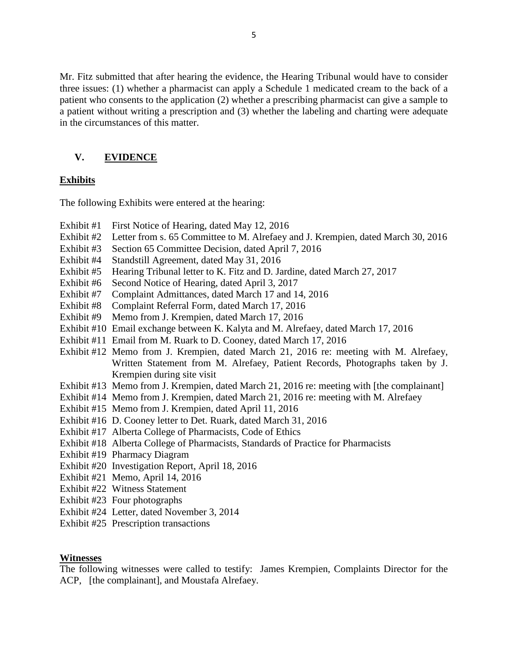Mr. Fitz submitted that after hearing the evidence, the Hearing Tribunal would have to consider three issues: (1) whether a pharmacist can apply a Schedule 1 medicated cream to the back of a patient who consents to the application (2) whether a prescribing pharmacist can give a sample to a patient without writing a prescription and (3) whether the labeling and charting were adequate in the circumstances of this matter.

## **V. EVIDENCE**

#### **Exhibits**

The following Exhibits were entered at the hearing:

- Exhibit #1 First Notice of Hearing, dated May 12, 2016
- Exhibit #2 Letter from s. 65 Committee to M. Alrefaey and J. Krempien, dated March 30, 2016
- Exhibit #3 Section 65 Committee Decision, dated April 7, 2016
- Exhibit #4 Standstill Agreement, dated May 31, 2016
- Exhibit #5 Hearing Tribunal letter to K. Fitz and D. Jardine, dated March 27, 2017
- Exhibit #6 Second Notice of Hearing, dated April 3, 2017
- Exhibit #7 Complaint Admittances, dated March 17 and 14, 2016
- Exhibit #8 Complaint Referral Form, dated March 17, 2016
- Exhibit #9 Memo from J. Krempien, dated March 17, 2016
- Exhibit #10 Email exchange between K. Kalyta and M. Alrefaey, dated March 17, 2016
- Exhibit #11 Email from M. Ruark to D. Cooney, dated March 17, 2016
- Exhibit #12 Memo from J. Krempien, dated March 21, 2016 re: meeting with M. Alrefaey, Written Statement from M. Alrefaey, Patient Records, Photographs taken by J. Krempien during site visit
- Exhibit #13 Memo from J. Krempien, dated March 21, 2016 re: meeting with [the complainant]
- Exhibit #14 Memo from J. Krempien, dated March 21, 2016 re: meeting with M. Alrefaey
- Exhibit #15 Memo from J. Krempien, dated April 11, 2016
- Exhibit #16 D. Cooney letter to Det. Ruark, dated March 31, 2016
- Exhibit #17 Alberta College of Pharmacists, Code of Ethics
- Exhibit #18 Alberta College of Pharmacists, Standards of Practice for Pharmacists
- Exhibit #19 Pharmacy Diagram
- Exhibit #20 Investigation Report, April 18, 2016
- Exhibit #21 Memo, April 14, 2016
- Exhibit #22 Witness Statement
- Exhibit #23 Four photographs
- Exhibit #24 Letter, dated November 3, 2014
- Exhibit #25 Prescription transactions

#### **Witnesses**

The following witnesses were called to testify: James Krempien, Complaints Director for the ACP, [the complainant], and Moustafa Alrefaey.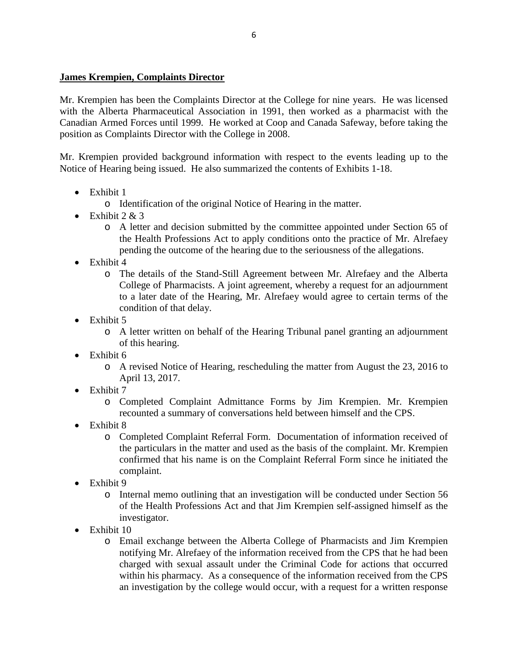## **James Krempien, Complaints Director**

Mr. Krempien has been the Complaints Director at the College for nine years. He was licensed with the Alberta Pharmaceutical Association in 1991, then worked as a pharmacist with the Canadian Armed Forces until 1999. He worked at Coop and Canada Safeway, before taking the position as Complaints Director with the College in 2008.

Mr. Krempien provided background information with respect to the events leading up to the Notice of Hearing being issued. He also summarized the contents of Exhibits 1-18.

- Exhibit 1
	- o Identification of the original Notice of Hearing in the matter.
- Exhibit  $2 & 3$ 
	- o A letter and decision submitted by the committee appointed under Section 65 of the Health Professions Act to apply conditions onto the practice of Mr. Alrefaey pending the outcome of the hearing due to the seriousness of the allegations.
- Exhibit 4
	- o The details of the Stand-Still Agreement between Mr. Alrefaey and the Alberta College of Pharmacists. A joint agreement, whereby a request for an adjournment to a later date of the Hearing, Mr. Alrefaey would agree to certain terms of the condition of that delay.
- Exhibit 5
	- o A letter written on behalf of the Hearing Tribunal panel granting an adjournment of this hearing.
- Exhibit 6
	- o A revised Notice of Hearing, rescheduling the matter from August the 23, 2016 to April 13, 2017.
- Exhibit 7
	- o Completed Complaint Admittance Forms by Jim Krempien. Mr. Krempien recounted a summary of conversations held between himself and the CPS.
- Exhibit 8
	- o Completed Complaint Referral Form. Documentation of information received of the particulars in the matter and used as the basis of the complaint. Mr. Krempien confirmed that his name is on the Complaint Referral Form since he initiated the complaint.
- Exhibit 9
	- o Internal memo outlining that an investigation will be conducted under Section 56 of the Health Professions Act and that Jim Krempien self-assigned himself as the investigator.
- Exhibit 10
	- o Email exchange between the Alberta College of Pharmacists and Jim Krempien notifying Mr. Alrefaey of the information received from the CPS that he had been charged with sexual assault under the Criminal Code for actions that occurred within his pharmacy. As a consequence of the information received from the CPS an investigation by the college would occur, with a request for a written response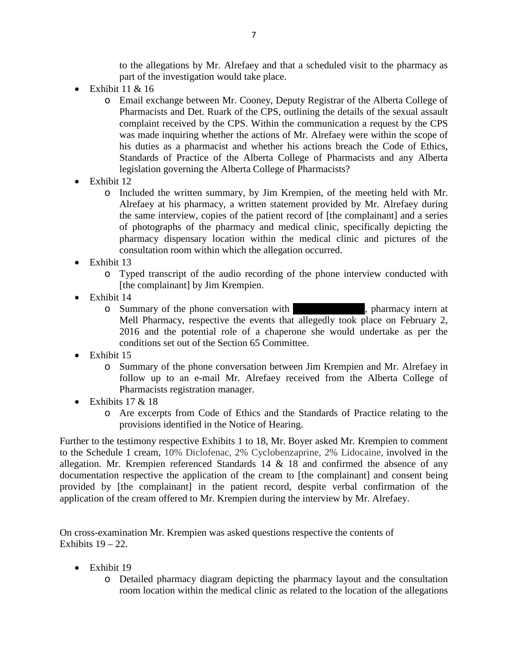to the allegations by Mr. Alrefaey and that a scheduled visit to the pharmacy as part of the investigation would take place.

- Exhibit  $11 & 16$ 
	- o Email exchange between Mr. Cooney, Deputy Registrar of the Alberta College of Pharmacists and Det. Ruark of the CPS, outlining the details of the sexual assault complaint received by the CPS. Within the communication a request by the CPS was made inquiring whether the actions of Mr. Alrefaey were within the scope of his duties as a pharmacist and whether his actions breach the Code of Ethics, Standards of Practice of the Alberta College of Pharmacists and any Alberta legislation governing the Alberta College of Pharmacists?
- Exhibit 12
	- o Included the written summary, by Jim Krempien, of the meeting held with Mr. Alrefaey at his pharmacy, a written statement provided by Mr. Alrefaey during the same interview, copies of the patient record of [the complainant] and a series of photographs of the pharmacy and medical clinic, specifically depicting the pharmacy dispensary location within the medical clinic and pictures of the consultation room within which the allegation occurred.
- Exhibit 13
	- o Typed transcript of the audio recording of the phone interview conducted with [the complainant] by Jim Krempien.
- Exhibit 14
	- o Summary of the phone conversation with  $\blacksquare$ , pharmacy intern at Mell Pharmacy, respective the events that allegedly took place on February 2, 2016 and the potential role of a chaperone she would undertake as per the conditions set out of the Section 65 Committee.
- Exhibit 15
	- o Summary of the phone conversation between Jim Krempien and Mr. Alrefaey in follow up to an e-mail Mr. Alrefaey received from the Alberta College of Pharmacists registration manager.
- Exhibits  $17 < 18$ 
	- o Are excerpts from Code of Ethics and the Standards of Practice relating to the provisions identified in the Notice of Hearing.

Further to the testimony respective Exhibits 1 to 18, Mr. Boyer asked Mr. Krempien to comment to the Schedule 1 cream, 10% Diclofenac, 2% Cyclobenzaprine, 2% Lidocaine, involved in the allegation. Mr. Krempien referenced Standards  $14 \& 18$  and confirmed the absence of any documentation respective the application of the cream to [the complainant] and consent being provided by [the complainant] in the patient record, despite verbal confirmation of the application of the cream offered to Mr. Krempien during the interview by Mr. Alrefaey.

On cross-examination Mr. Krempien was asked questions respective the contents of Exhibits  $19 - 22$ .

- Exhibit 19
	- o Detailed pharmacy diagram depicting the pharmacy layout and the consultation room location within the medical clinic as related to the location of the allegations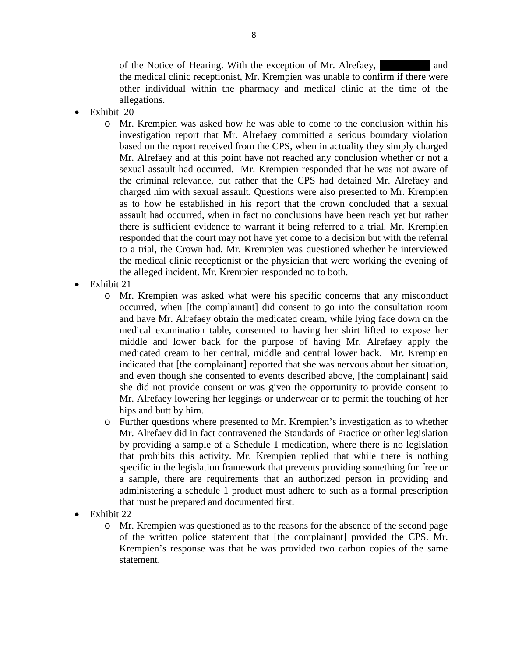of the Notice of Hearing. With the exception of Mr. Alrefaey,  $\alpha$  and the medical clinic receptionist, Mr. Krempien was unable to confirm if there were other individual within the pharmacy and medical clinic at the time of the allegations.

- Exhibit 20
	- o Mr. Krempien was asked how he was able to come to the conclusion within his investigation report that Mr. Alrefaey committed a serious boundary violation based on the report received from the CPS, when in actuality they simply charged Mr. Alrefaey and at this point have not reached any conclusion whether or not a sexual assault had occurred. Mr. Krempien responded that he was not aware of the criminal relevance, but rather that the CPS had detained Mr. Alrefaey and charged him with sexual assault. Questions were also presented to Mr. Krempien as to how he established in his report that the crown concluded that a sexual assault had occurred, when in fact no conclusions have been reach yet but rather there is sufficient evidence to warrant it being referred to a trial. Mr. Krempien responded that the court may not have yet come to a decision but with the referral to a trial, the Crown had. Mr. Krempien was questioned whether he interviewed the medical clinic receptionist or the physician that were working the evening of the alleged incident. Mr. Krempien responded no to both.
- Exhibit 21
	- o Mr. Krempien was asked what were his specific concerns that any misconduct occurred, when [the complainant] did consent to go into the consultation room and have Mr. Alrefaey obtain the medicated cream, while lying face down on the medical examination table, consented to having her shirt lifted to expose her middle and lower back for the purpose of having Mr. Alrefaey apply the medicated cream to her central, middle and central lower back. Mr. Krempien indicated that [the complainant] reported that she was nervous about her situation, and even though she consented to events described above, [the complainant] said she did not provide consent or was given the opportunity to provide consent to Mr. Alrefaey lowering her leggings or underwear or to permit the touching of her hips and butt by him.
	- o Further questions where presented to Mr. Krempien's investigation as to whether Mr. Alrefaey did in fact contravened the Standards of Practice or other legislation by providing a sample of a Schedule 1 medication, where there is no legislation that prohibits this activity. Mr. Krempien replied that while there is nothing specific in the legislation framework that prevents providing something for free or a sample, there are requirements that an authorized person in providing and administering a schedule 1 product must adhere to such as a formal prescription that must be prepared and documented first.
- Exhibit 22
	- o Mr. Krempien was questioned as to the reasons for the absence of the second page of the written police statement that [the complainant] provided the CPS. Mr. Krempien's response was that he was provided two carbon copies of the same statement.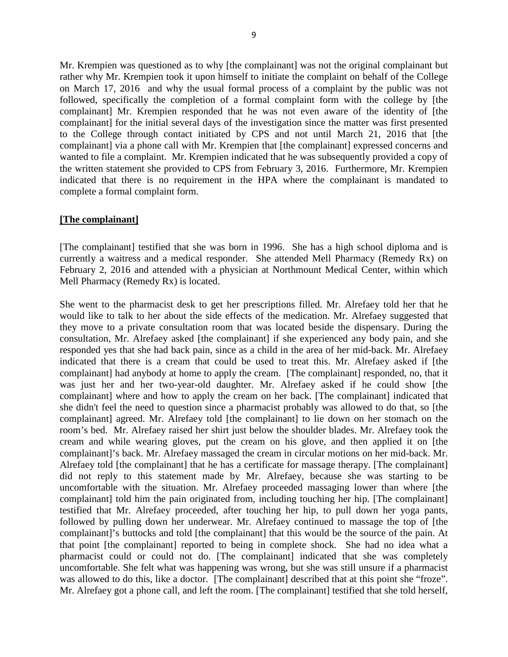Mr. Krempien was questioned as to why [the complainant] was not the original complainant but rather why Mr. Krempien took it upon himself to initiate the complaint on behalf of the College on March 17, 2016 and why the usual formal process of a complaint by the public was not followed, specifically the completion of a formal complaint form with the college by [the complainant] Mr. Krempien responded that he was not even aware of the identity of [the complainant] for the initial several days of the investigation since the matter was first presented to the College through contact initiated by CPS and not until March 21, 2016 that [the complainant] via a phone call with Mr. Krempien that [the complainant] expressed concerns and wanted to file a complaint. Mr. Krempien indicated that he was subsequently provided a copy of the written statement she provided to CPS from February 3, 2016. Furthermore, Mr. Krempien indicated that there is no requirement in the HPA where the complainant is mandated to complete a formal complaint form.

#### **[The complainant]**

[The complainant] testified that she was born in 1996. She has a high school diploma and is currently a waitress and a medical responder. She attended Mell Pharmacy (Remedy Rx) on February 2, 2016 and attended with a physician at Northmount Medical Center, within which Mell Pharmacy (Remedy Rx) is located.

She went to the pharmacist desk to get her prescriptions filled. Mr. Alrefaey told her that he would like to talk to her about the side effects of the medication. Mr. Alrefaey suggested that they move to a private consultation room that was located beside the dispensary. During the consultation, Mr. Alrefaey asked [the complainant] if she experienced any body pain, and she responded yes that she had back pain, since as a child in the area of her mid-back. Mr. Alrefaey indicated that there is a cream that could be used to treat this. Mr. Alrefaey asked if [the complainant] had anybody at home to apply the cream. [The complainant] responded, no, that it was just her and her two-year-old daughter. Mr. Alrefaey asked if he could show [the complainant] where and how to apply the cream on her back. [The complainant] indicated that she didn't feel the need to question since a pharmacist probably was allowed to do that, so [the complainant] agreed. Mr. Alrefaey told [the complainant] to lie down on her stomach on the room's bed. Mr. Alrefaey raised her shirt just below the shoulder blades. Mr. Alrefaey took the cream and while wearing gloves, put the cream on his glove, and then applied it on [the complainant]'s back. Mr. Alrefaey massaged the cream in circular motions on her mid-back. Mr. Alrefaey told [the complainant] that he has a certificate for massage therapy. [The complainant] did not reply to this statement made by Mr. Alrefaey, because she was starting to be uncomfortable with the situation. Mr. Alrefaey proceeded massaging lower than where [the complainant] told him the pain originated from, including touching her hip. [The complainant] testified that Mr. Alrefaey proceeded, after touching her hip, to pull down her yoga pants, followed by pulling down her underwear. Mr. Alrefaey continued to massage the top of [the complainant]'s buttocks and told [the complainant] that this would be the source of the pain. At that point [the complainant] reported to being in complete shock. She had no idea what a pharmacist could or could not do. [The complainant] indicated that she was completely uncomfortable. She felt what was happening was wrong, but she was still unsure if a pharmacist was allowed to do this, like a doctor. [The complainant] described that at this point she "froze". Mr. Alrefaey got a phone call, and left the room. [The complainant] testified that she told herself,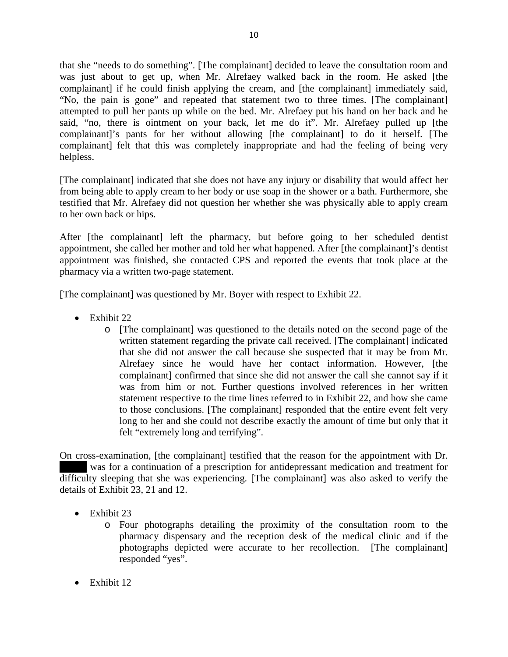that she "needs to do something". [The complainant] decided to leave the consultation room and was just about to get up, when Mr. Alrefaey walked back in the room. He asked [the complainant] if he could finish applying the cream, and [the complainant] immediately said, "No, the pain is gone" and repeated that statement two to three times. [The complainant] attempted to pull her pants up while on the bed. Mr. Alrefaey put his hand on her back and he said, "no, there is ointment on your back, let me do it". Mr. Alrefaey pulled up [the complainant]'s pants for her without allowing [the complainant] to do it herself. [The complainant] felt that this was completely inappropriate and had the feeling of being very helpless.

[The complainant] indicated that she does not have any injury or disability that would affect her from being able to apply cream to her body or use soap in the shower or a bath. Furthermore, she testified that Mr. Alrefaey did not question her whether she was physically able to apply cream to her own back or hips.

After [the complainant] left the pharmacy, but before going to her scheduled dentist appointment, she called her mother and told her what happened. After [the complainant]'s dentist appointment was finished, she contacted CPS and reported the events that took place at the pharmacy via a written two-page statement.

[The complainant] was questioned by Mr. Boyer with respect to Exhibit 22.

- $\bullet$  Exhibit 22
	- o [The complainant] was questioned to the details noted on the second page of the written statement regarding the private call received. [The complainant] indicated that she did not answer the call because she suspected that it may be from Mr. Alrefaey since he would have her contact information. However, [the complainant] confirmed that since she did not answer the call she cannot say if it was from him or not. Further questions involved references in her written statement respective to the time lines referred to in Exhibit 22, and how she came to those conclusions. [The complainant] responded that the entire event felt very long to her and she could not describe exactly the amount of time but only that it felt "extremely long and terrifying".

On cross-examination, [the complainant] testified that the reason for the appointment with Dr. was for a continuation of a prescription for antidepressant medication and treatment for difficulty sleeping that she was experiencing. [The complainant] was also asked to verify the details of Exhibit 23, 21 and 12.

- Exhibit 23
	- o Four photographs detailing the proximity of the consultation room to the pharmacy dispensary and the reception desk of the medical clinic and if the photographs depicted were accurate to her recollection. [The complainant] responded "yes".
- Exhibit 12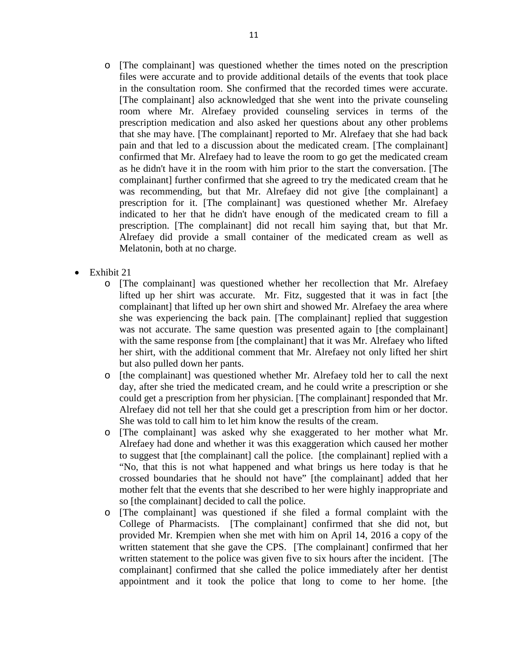11

- o [The complainant] was questioned whether the times noted on the prescription files were accurate and to provide additional details of the events that took place in the consultation room. She confirmed that the recorded times were accurate. [The complainant] also acknowledged that she went into the private counseling room where Mr. Alrefaey provided counseling services in terms of the prescription medication and also asked her questions about any other problems that she may have. [The complainant] reported to Mr. Alrefaey that she had back pain and that led to a discussion about the medicated cream. [The complainant] confirmed that Mr. Alrefaey had to leave the room to go get the medicated cream as he didn't have it in the room with him prior to the start the conversation. [The complainant] further confirmed that she agreed to try the medicated cream that he was recommending, but that Mr. Alrefaey did not give [the complainant] a prescription for it. [The complainant] was questioned whether Mr. Alrefaey indicated to her that he didn't have enough of the medicated cream to fill a prescription. [The complainant] did not recall him saying that, but that Mr. Alrefaey did provide a small container of the medicated cream as well as Melatonin, both at no charge.
- Exhibit 21
	- o [The complainant] was questioned whether her recollection that Mr. Alrefaey lifted up her shirt was accurate. Mr. Fitz, suggested that it was in fact [the complainant] that lifted up her own shirt and showed Mr. Alrefaey the area where she was experiencing the back pain. [The complainant] replied that suggestion was not accurate. The same question was presented again to [the complainant] with the same response from [the complainant] that it was Mr. Alrefaey who lifted her shirt, with the additional comment that Mr. Alrefaey not only lifted her shirt but also pulled down her pants.
	- o [the complainant] was questioned whether Mr. Alrefaey told her to call the next day, after she tried the medicated cream, and he could write a prescription or she could get a prescription from her physician. [The complainant] responded that Mr. Alrefaey did not tell her that she could get a prescription from him or her doctor. She was told to call him to let him know the results of the cream.
	- o [The complainant] was asked why she exaggerated to her mother what Mr. Alrefaey had done and whether it was this exaggeration which caused her mother to suggest that [the complainant] call the police. [the complainant] replied with a "No, that this is not what happened and what brings us here today is that he crossed boundaries that he should not have" [the complainant] added that her mother felt that the events that she described to her were highly inappropriate and so [the complainant] decided to call the police.
	- o [The complainant] was questioned if she filed a formal complaint with the College of Pharmacists. [The complainant] confirmed that she did not, but provided Mr. Krempien when she met with him on April 14, 2016 a copy of the written statement that she gave the CPS. [The complainant] confirmed that her written statement to the police was given five to six hours after the incident. [The complainant] confirmed that she called the police immediately after her dentist appointment and it took the police that long to come to her home. [the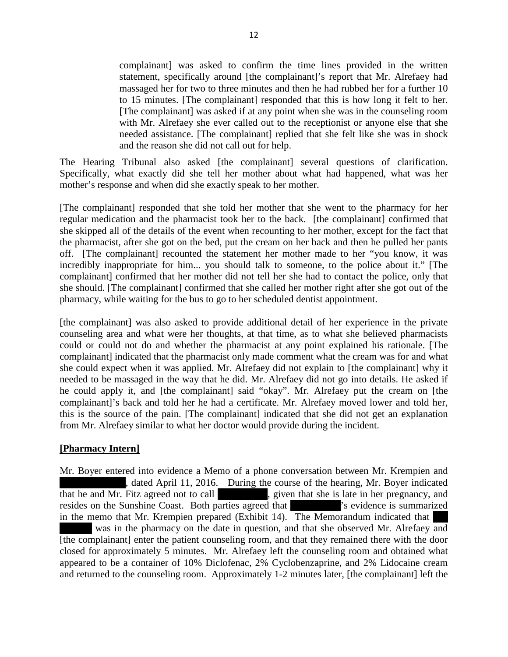complainant] was asked to confirm the time lines provided in the written statement, specifically around [the complainant]'s report that Mr. Alrefaey had massaged her for two to three minutes and then he had rubbed her for a further 10 to 15 minutes. [The complainant] responded that this is how long it felt to her. [The complainant] was asked if at any point when she was in the counseling room with Mr. Alrefaey she ever called out to the receptionist or anyone else that she needed assistance. [The complainant] replied that she felt like she was in shock and the reason she did not call out for help.

The Hearing Tribunal also asked [the complainant] several questions of clarification. Specifically, what exactly did she tell her mother about what had happened, what was her mother's response and when did she exactly speak to her mother.

[The complainant] responded that she told her mother that she went to the pharmacy for her regular medication and the pharmacist took her to the back. [the complainant] confirmed that she skipped all of the details of the event when recounting to her mother, except for the fact that the pharmacist, after she got on the bed, put the cream on her back and then he pulled her pants off. [The complainant] recounted the statement her mother made to her "you know, it was incredibly inappropriate for him... you should talk to someone, to the police about it." [The complainant] confirmed that her mother did not tell her she had to contact the police, only that she should. [The complainant] confirmed that she called her mother right after she got out of the pharmacy, while waiting for the bus to go to her scheduled dentist appointment.

[the complainant] was also asked to provide additional detail of her experience in the private counseling area and what were her thoughts, at that time, as to what she believed pharmacists could or could not do and whether the pharmacist at any point explained his rationale. [The complainant] indicated that the pharmacist only made comment what the cream was for and what she could expect when it was applied. Mr. Alrefaey did not explain to [the complainant] why it needed to be massaged in the way that he did. Mr. Alrefaey did not go into details. He asked if he could apply it, and [the complainant] said "okay". Mr. Alrefaey put the cream on [the complainant]'s back and told her he had a certificate. Mr. Alrefaey moved lower and told her, this is the source of the pain. [The complainant] indicated that she did not get an explanation from Mr. Alrefaey similar to what her doctor would provide during the incident.

## **[Pharmacy Intern]**

Mr. Boyer entered into evidence a Memo of a phone conversation between Mr. Krempien and , dated April 11, 2016. During the course of the hearing, Mr. Boyer indicated that he and Mr. Fitz agreed not to call states, given that she is late in her pregnancy, and resides on the Sunshine Coast. Both parties agreed that  $\cdot$  is evidence is summarized in the memo that Mr. Krempien prepared (Exhibit 14). The Memorandum indicated that was in the pharmacy on the date in question, and that she observed Mr. Alrefaey and [the complainant] enter the patient counseling room, and that they remained there with the door closed for approximately 5 minutes. Mr. Alrefaey left the counseling room and obtained what appeared to be a container of 10% Diclofenac, 2% Cyclobenzaprine, and 2% Lidocaine cream and returned to the counseling room. Approximately 1-2 minutes later, [the complainant] left the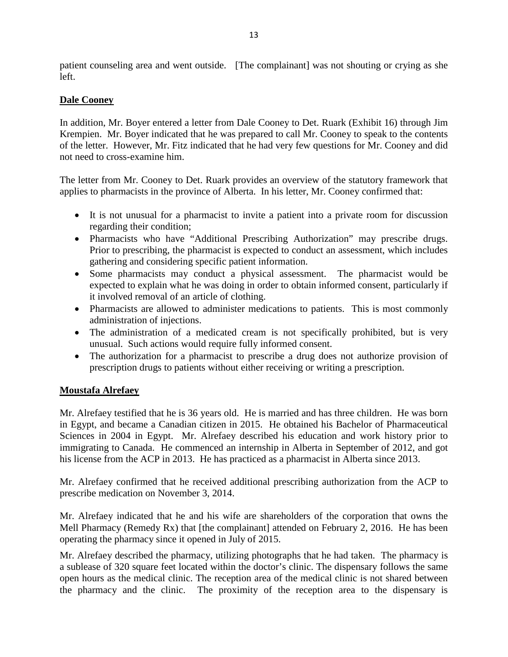patient counseling area and went outside. [The complainant] was not shouting or crying as she left.

## **Dale Cooney**

In addition, Mr. Boyer entered a letter from Dale Cooney to Det. Ruark (Exhibit 16) through Jim Krempien. Mr. Boyer indicated that he was prepared to call Mr. Cooney to speak to the contents of the letter. However, Mr. Fitz indicated that he had very few questions for Mr. Cooney and did not need to cross-examine him.

The letter from Mr. Cooney to Det. Ruark provides an overview of the statutory framework that applies to pharmacists in the province of Alberta. In his letter, Mr. Cooney confirmed that:

- It is not unusual for a pharmacist to invite a patient into a private room for discussion regarding their condition;
- Pharmacists who have "Additional Prescribing Authorization" may prescribe drugs. Prior to prescribing, the pharmacist is expected to conduct an assessment, which includes gathering and considering specific patient information.
- Some pharmacists may conduct a physical assessment. The pharmacist would be expected to explain what he was doing in order to obtain informed consent, particularly if it involved removal of an article of clothing.
- Pharmacists are allowed to administer medications to patients. This is most commonly administration of injections.
- The administration of a medicated cream is not specifically prohibited, but is very unusual. Such actions would require fully informed consent.
- The authorization for a pharmacist to prescribe a drug does not authorize provision of prescription drugs to patients without either receiving or writing a prescription.

## **Moustafa Alrefaey**

Mr. Alrefaey testified that he is 36 years old. He is married and has three children. He was born in Egypt, and became a Canadian citizen in 2015. He obtained his Bachelor of Pharmaceutical Sciences in 2004 in Egypt. Mr. Alrefaey described his education and work history prior to immigrating to Canada. He commenced an internship in Alberta in September of 2012, and got his license from the ACP in 2013. He has practiced as a pharmacist in Alberta since 2013.

Mr. Alrefaey confirmed that he received additional prescribing authorization from the ACP to prescribe medication on November 3, 2014.

Mr. Alrefaey indicated that he and his wife are shareholders of the corporation that owns the Mell Pharmacy (Remedy Rx) that [the complainant] attended on February 2, 2016. He has been operating the pharmacy since it opened in July of 2015.

Mr. Alrefaey described the pharmacy, utilizing photographs that he had taken. The pharmacy is a sublease of 320 square feet located within the doctor's clinic. The dispensary follows the same open hours as the medical clinic. The reception area of the medical clinic is not shared between the pharmacy and the clinic. The proximity of the reception area to the dispensary is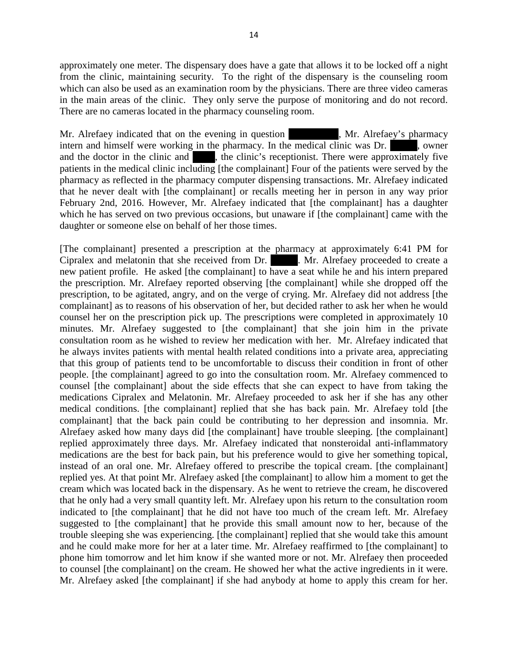approximately one meter. The dispensary does have a gate that allows it to be locked off a night from the clinic, maintaining security. To the right of the dispensary is the counseling room which can also be used as an examination room by the physicians. There are three video cameras in the main areas of the clinic. They only serve the purpose of monitoring and do not record. There are no cameras located in the pharmacy counseling room.

Mr. Alrefaey indicated that on the evening in question Nr. Alrefaey's pharmacy intern and himself were working in the pharmacy. In the medical clinic was Dr.  $\blacksquare$ , owner and the doctor in the clinic and  $\blacksquare$ , the clinic's receptionist. There were approximately five patients in the medical clinic including [the complainant] Four of the patients were served by the pharmacy as reflected in the pharmacy computer dispensing transactions. Mr. Alrefaey indicated that he never dealt with [the complainant] or recalls meeting her in person in any way prior February 2nd, 2016. However, Mr. Alrefaey indicated that [the complainant] has a daughter which he has served on two previous occasions, but unaware if [the complainant] came with the daughter or someone else on behalf of her those times.

[The complainant] presented a prescription at the pharmacy at approximately 6:41 PM for Cipralex and melatonin that she received from Dr. Mr. Alrefaey proceeded to create a new patient profile. He asked [the complainant] to have a seat while he and his intern prepared the prescription. Mr. Alrefaey reported observing [the complainant] while she dropped off the prescription, to be agitated, angry, and on the verge of crying. Mr. Alrefaey did not address [the complainant] as to reasons of his observation of her, but decided rather to ask her when he would counsel her on the prescription pick up. The prescriptions were completed in approximately 10 minutes. Mr. Alrefaey suggested to [the complainant] that she join him in the private consultation room as he wished to review her medication with her. Mr. Alrefaey indicated that he always invites patients with mental health related conditions into a private area, appreciating that this group of patients tend to be uncomfortable to discuss their condition in front of other people. [the complainant] agreed to go into the consultation room. Mr. Alrefaey commenced to counsel [the complainant] about the side effects that she can expect to have from taking the medications Cipralex and Melatonin. Mr. Alrefaey proceeded to ask her if she has any other medical conditions. [the complainant] replied that she has back pain. Mr. Alrefaey told [the complainant] that the back pain could be contributing to her depression and insomnia. Mr. Alrefaey asked how many days did [the complainant] have trouble sleeping. [the complainant] replied approximately three days. Mr. Alrefaey indicated that nonsteroidal anti-inflammatory medications are the best for back pain, but his preference would to give her something topical, instead of an oral one. Mr. Alrefaey offered to prescribe the topical cream. [the complainant] replied yes. At that point Mr. Alrefaey asked [the complainant] to allow him a moment to get the cream which was located back in the dispensary. As he went to retrieve the cream, he discovered that he only had a very small quantity left. Mr. Alrefaey upon his return to the consultation room indicated to [the complainant] that he did not have too much of the cream left. Mr. Alrefaey suggested to [the complainant] that he provide this small amount now to her, because of the trouble sleeping she was experiencing. [the complainant] replied that she would take this amount and he could make more for her at a later time. Mr. Alrefaey reaffirmed to [the complainant] to phone him tomorrow and let him know if she wanted more or not. Mr. Alrefaey then proceeded to counsel [the complainant] on the cream. He showed her what the active ingredients in it were. Mr. Alrefaey asked [the complainant] if she had anybody at home to apply this cream for her.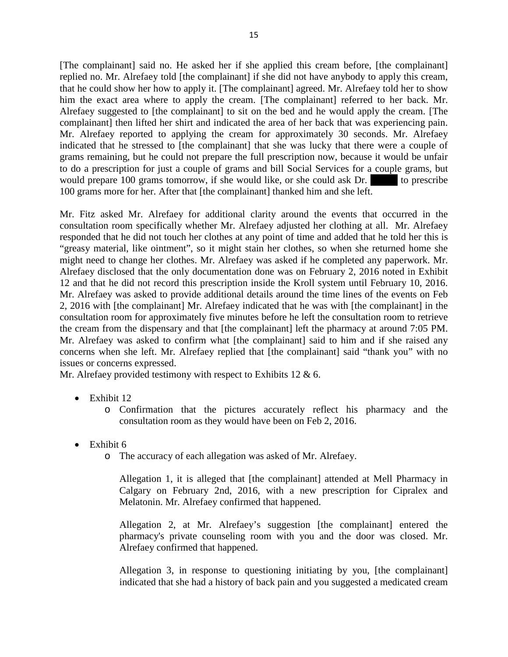[The complainant] said no. He asked her if she applied this cream before, [the complainant] replied no. Mr. Alrefaey told [the complainant] if she did not have anybody to apply this cream, that he could show her how to apply it. [The complainant] agreed. Mr. Alrefaey told her to show him the exact area where to apply the cream. [The complainant] referred to her back. Mr. Alrefaey suggested to [the complainant] to sit on the bed and he would apply the cream. [The complainant] then lifted her shirt and indicated the area of her back that was experiencing pain. Mr. Alrefaey reported to applying the cream for approximately 30 seconds. Mr. Alrefaey indicated that he stressed to [the complainant] that she was lucky that there were a couple of grams remaining, but he could not prepare the full prescription now, because it would be unfair to do a prescription for just a couple of grams and bill Social Services for a couple grams, but would prepare  $100$  grams tomorrow, if she would like, or she could ask Dr.  $\qquad \qquad$  to prescribe 100 grams more for her. After that [the complainant] thanked him and she left.

Mr. Fitz asked Mr. Alrefaey for additional clarity around the events that occurred in the consultation room specifically whether Mr. Alrefaey adjusted her clothing at all. Mr. Alrefaey responded that he did not touch her clothes at any point of time and added that he told her this is "greasy material, like ointment", so it might stain her clothes, so when she returned home she might need to change her clothes. Mr. Alrefaey was asked if he completed any paperwork. Mr. Alrefaey disclosed that the only documentation done was on February 2, 2016 noted in Exhibit 12 and that he did not record this prescription inside the Kroll system until February 10, 2016. Mr. Alrefaey was asked to provide additional details around the time lines of the events on Feb 2, 2016 with [the complainant] Mr. Alrefaey indicated that he was with [the complainant] in the consultation room for approximately five minutes before he left the consultation room to retrieve the cream from the dispensary and that [the complainant] left the pharmacy at around 7:05 PM. Mr. Alrefaey was asked to confirm what [the complainant] said to him and if she raised any concerns when she left. Mr. Alrefaey replied that [the complainant] said "thank you" with no issues or concerns expressed.

Mr. Alrefaey provided testimony with respect to Exhibits 12 & 6.

- Exhibit 12
	- o Confirmation that the pictures accurately reflect his pharmacy and the consultation room as they would have been on Feb 2, 2016.
- Exhibit 6
	- o The accuracy of each allegation was asked of Mr. Alrefaey.

Allegation 1, it is alleged that [the complainant] attended at Mell Pharmacy in Calgary on February 2nd, 2016, with a new prescription for Cipralex and Melatonin. Mr. Alrefaey confirmed that happened.

Allegation 2, at Mr. Alrefaey's suggestion [the complainant] entered the pharmacy's private counseling room with you and the door was closed. Mr. Alrefaey confirmed that happened.

Allegation 3, in response to questioning initiating by you, [the complainant] indicated that she had a history of back pain and you suggested a medicated cream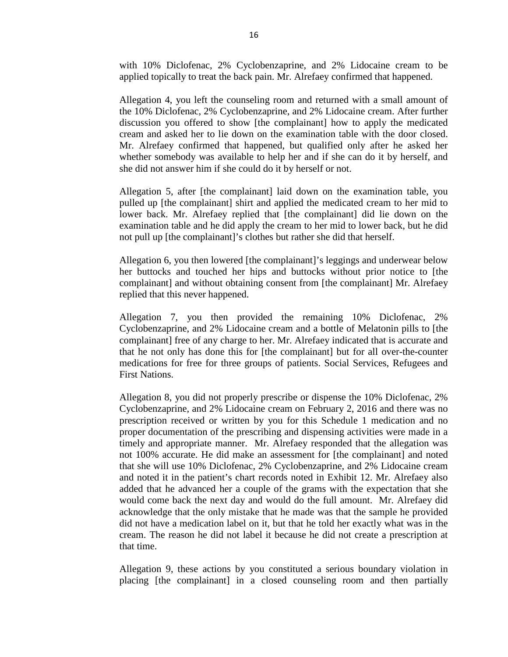with 10% Diclofenac, 2% Cyclobenzaprine, and 2% Lidocaine cream to be applied topically to treat the back pain. Mr. Alrefaey confirmed that happened.

Allegation 4, you left the counseling room and returned with a small amount of the 10% Diclofenac, 2% Cyclobenzaprine, and 2% Lidocaine cream. After further discussion you offered to show [the complainant] how to apply the medicated cream and asked her to lie down on the examination table with the door closed. Mr. Alrefaey confirmed that happened, but qualified only after he asked her whether somebody was available to help her and if she can do it by herself, and she did not answer him if she could do it by herself or not.

Allegation 5, after [the complainant] laid down on the examination table, you pulled up [the complainant] shirt and applied the medicated cream to her mid to lower back. Mr. Alrefaey replied that [the complainant] did lie down on the examination table and he did apply the cream to her mid to lower back, but he did not pull up [the complainant]'s clothes but rather she did that herself.

Allegation 6, you then lowered [the complainant]'s leggings and underwear below her buttocks and touched her hips and buttocks without prior notice to [the complainant] and without obtaining consent from [the complainant] Mr. Alrefaey replied that this never happened.

Allegation 7, you then provided the remaining 10% Diclofenac, 2% Cyclobenzaprine, and 2% Lidocaine cream and a bottle of Melatonin pills to [the complainant] free of any charge to her. Mr. Alrefaey indicated that is accurate and that he not only has done this for [the complainant] but for all over-the-counter medications for free for three groups of patients. Social Services, Refugees and First Nations.

Allegation 8, you did not properly prescribe or dispense the 10% Diclofenac, 2% Cyclobenzaprine, and 2% Lidocaine cream on February 2, 2016 and there was no prescription received or written by you for this Schedule 1 medication and no proper documentation of the prescribing and dispensing activities were made in a timely and appropriate manner. Mr. Alrefaey responded that the allegation was not 100% accurate. He did make an assessment for [the complainant] and noted that she will use 10% Diclofenac, 2% Cyclobenzaprine, and 2% Lidocaine cream and noted it in the patient's chart records noted in Exhibit 12. Mr. Alrefaey also added that he advanced her a couple of the grams with the expectation that she would come back the next day and would do the full amount. Mr. Alrefaey did acknowledge that the only mistake that he made was that the sample he provided did not have a medication label on it, but that he told her exactly what was in the cream. The reason he did not label it because he did not create a prescription at that time.

Allegation 9, these actions by you constituted a serious boundary violation in placing [the complainant] in a closed counseling room and then partially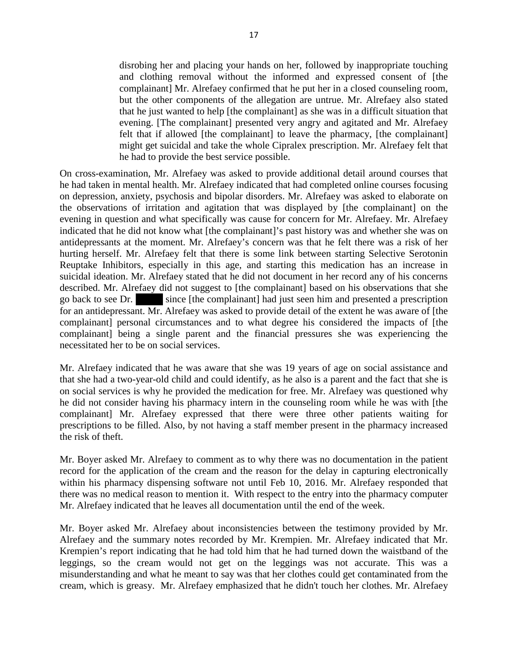disrobing her and placing your hands on her, followed by inappropriate touching and clothing removal without the informed and expressed consent of [the complainant] Mr. Alrefaey confirmed that he put her in a closed counseling room, but the other components of the allegation are untrue. Mr. Alrefaey also stated that he just wanted to help [the complainant] as she was in a difficult situation that evening. [The complainant] presented very angry and agitated and Mr. Alrefaey felt that if allowed [the complainant] to leave the pharmacy, [the complainant] might get suicidal and take the whole Cipralex prescription. Mr. Alrefaey felt that he had to provide the best service possible.

On cross-examination, Mr. Alrefaey was asked to provide additional detail around courses that he had taken in mental health. Mr. Alrefaey indicated that had completed online courses focusing on depression, anxiety, psychosis and bipolar disorders. Mr. Alrefaey was asked to elaborate on the observations of irritation and agitation that was displayed by [the complainant] on the evening in question and what specifically was cause for concern for Mr. Alrefaey. Mr. Alrefaey indicated that he did not know what [the complainant]'s past history was and whether she was on antidepressants at the moment. Mr. Alrefaey's concern was that he felt there was a risk of her hurting herself. Mr. Alrefaey felt that there is some link between starting Selective Serotonin Reuptake Inhibitors, especially in this age, and starting this medication has an increase in suicidal ideation. Mr. Alrefaey stated that he did not document in her record any of his concerns described. Mr. Alrefaey did not suggest to [the complainant] based on his observations that she go back to see Dr. since [the complainant] had just seen him and presented a prescription for an antidepressant. Mr. Alrefaey was asked to provide detail of the extent he was aware of [the complainant] personal circumstances and to what degree his considered the impacts of [the complainant] being a single parent and the financial pressures she was experiencing the necessitated her to be on social services.

Mr. Alrefaey indicated that he was aware that she was 19 years of age on social assistance and that she had a two-year-old child and could identify, as he also is a parent and the fact that she is on social services is why he provided the medication for free. Mr. Alrefaey was questioned why he did not consider having his pharmacy intern in the counseling room while he was with [the complainant] Mr. Alrefaey expressed that there were three other patients waiting for prescriptions to be filled. Also, by not having a staff member present in the pharmacy increased the risk of theft.

Mr. Boyer asked Mr. Alrefaey to comment as to why there was no documentation in the patient record for the application of the cream and the reason for the delay in capturing electronically within his pharmacy dispensing software not until Feb 10, 2016. Mr. Alrefaey responded that there was no medical reason to mention it. With respect to the entry into the pharmacy computer Mr. Alrefaey indicated that he leaves all documentation until the end of the week.

Mr. Boyer asked Mr. Alrefaey about inconsistencies between the testimony provided by Mr. Alrefaey and the summary notes recorded by Mr. Krempien. Mr. Alrefaey indicated that Mr. Krempien's report indicating that he had told him that he had turned down the waistband of the leggings, so the cream would not get on the leggings was not accurate. This was a misunderstanding and what he meant to say was that her clothes could get contaminated from the cream, which is greasy. Mr. Alrefaey emphasized that he didn't touch her clothes. Mr. Alrefaey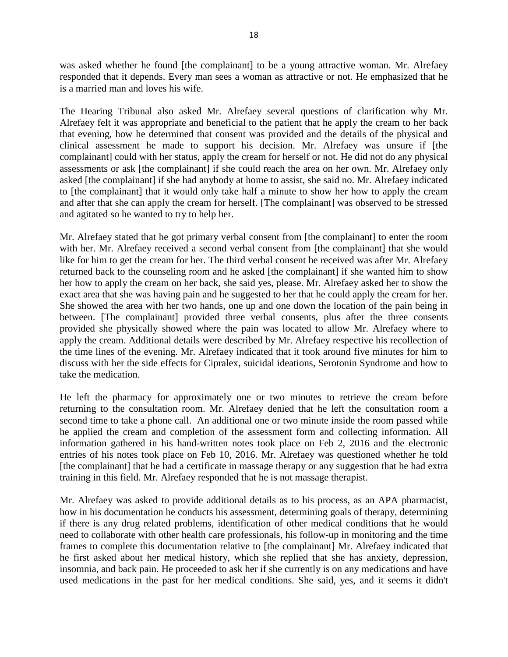was asked whether he found [the complainant] to be a young attractive woman. Mr. Alrefaey responded that it depends. Every man sees a woman as attractive or not. He emphasized that he is a married man and loves his wife.

The Hearing Tribunal also asked Mr. Alrefaey several questions of clarification why Mr. Alrefaey felt it was appropriate and beneficial to the patient that he apply the cream to her back that evening, how he determined that consent was provided and the details of the physical and clinical assessment he made to support his decision. Mr. Alrefaey was unsure if [the complainant] could with her status, apply the cream for herself or not. He did not do any physical assessments or ask [the complainant] if she could reach the area on her own. Mr. Alrefaey only asked [the complainant] if she had anybody at home to assist, she said no. Mr. Alrefaey indicated to [the complainant] that it would only take half a minute to show her how to apply the cream and after that she can apply the cream for herself. [The complainant] was observed to be stressed and agitated so he wanted to try to help her.

Mr. Alrefaey stated that he got primary verbal consent from [the complainant] to enter the room with her. Mr. Alrefaey received a second verbal consent from [the complainant] that she would like for him to get the cream for her. The third verbal consent he received was after Mr. Alrefaey returned back to the counseling room and he asked [the complainant] if she wanted him to show her how to apply the cream on her back, she said yes, please. Mr. Alrefaey asked her to show the exact area that she was having pain and he suggested to her that he could apply the cream for her. She showed the area with her two hands, one up and one down the location of the pain being in between. [The complainant] provided three verbal consents, plus after the three consents provided she physically showed where the pain was located to allow Mr. Alrefaey where to apply the cream. Additional details were described by Mr. Alrefaey respective his recollection of the time lines of the evening. Mr. Alrefaey indicated that it took around five minutes for him to discuss with her the side effects for Cipralex, suicidal ideations, Serotonin Syndrome and how to take the medication.

He left the pharmacy for approximately one or two minutes to retrieve the cream before returning to the consultation room. Mr. Alrefaey denied that he left the consultation room a second time to take a phone call. An additional one or two minute inside the room passed while he applied the cream and completion of the assessment form and collecting information. All information gathered in his hand-written notes took place on Feb 2, 2016 and the electronic entries of his notes took place on Feb 10, 2016. Mr. Alrefaey was questioned whether he told [the complainant] that he had a certificate in massage therapy or any suggestion that he had extra training in this field. Mr. Alrefaey responded that he is not massage therapist.

Mr. Alrefaey was asked to provide additional details as to his process, as an APA pharmacist, how in his documentation he conducts his assessment, determining goals of therapy, determining if there is any drug related problems, identification of other medical conditions that he would need to collaborate with other health care professionals, his follow-up in monitoring and the time frames to complete this documentation relative to [the complainant] Mr. Alrefaey indicated that he first asked about her medical history, which she replied that she has anxiety, depression, insomnia, and back pain. He proceeded to ask her if she currently is on any medications and have used medications in the past for her medical conditions. She said, yes, and it seems it didn't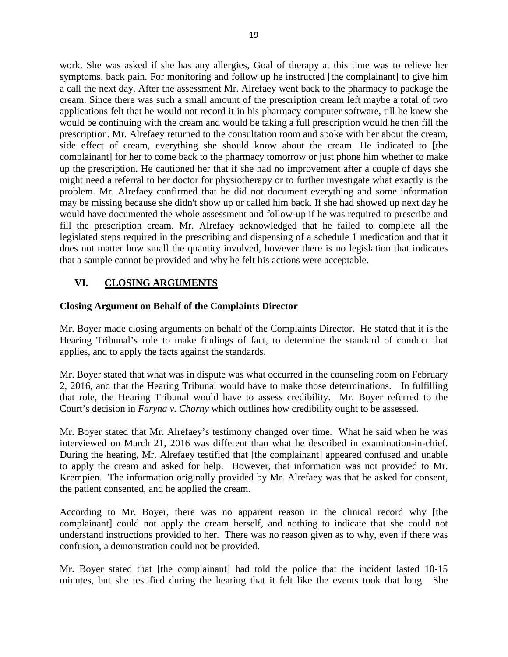work. She was asked if she has any allergies, Goal of therapy at this time was to relieve her symptoms, back pain. For monitoring and follow up he instructed [the complainant] to give him a call the next day. After the assessment Mr. Alrefaey went back to the pharmacy to package the cream. Since there was such a small amount of the prescription cream left maybe a total of two applications felt that he would not record it in his pharmacy computer software, till he knew she would be continuing with the cream and would be taking a full prescription would he then fill the prescription. Mr. Alrefaey returned to the consultation room and spoke with her about the cream, side effect of cream, everything she should know about the cream. He indicated to [the complainant] for her to come back to the pharmacy tomorrow or just phone him whether to make up the prescription. He cautioned her that if she had no improvement after a couple of days she might need a referral to her doctor for physiotherapy or to further investigate what exactly is the problem. Mr. Alrefaey confirmed that he did not document everything and some information may be missing because she didn't show up or called him back. If she had showed up next day he would have documented the whole assessment and follow-up if he was required to prescribe and fill the prescription cream. Mr. Alrefaey acknowledged that he failed to complete all the legislated steps required in the prescribing and dispensing of a schedule 1 medication and that it does not matter how small the quantity involved, however there is no legislation that indicates that a sample cannot be provided and why he felt his actions were acceptable.

## **VI. CLOSING ARGUMENTS**

#### **Closing Argument on Behalf of the Complaints Director**

Mr. Boyer made closing arguments on behalf of the Complaints Director. He stated that it is the Hearing Tribunal's role to make findings of fact, to determine the standard of conduct that applies, and to apply the facts against the standards.

Mr. Boyer stated that what was in dispute was what occurred in the counseling room on February 2, 2016, and that the Hearing Tribunal would have to make those determinations. In fulfilling that role, the Hearing Tribunal would have to assess credibility. Mr. Boyer referred to the Court's decision in *Faryna v. Chorny* which outlines how credibility ought to be assessed.

Mr. Boyer stated that Mr. Alrefaey's testimony changed over time. What he said when he was interviewed on March 21, 2016 was different than what he described in examination-in-chief. During the hearing, Mr. Alrefaey testified that [the complainant] appeared confused and unable to apply the cream and asked for help. However, that information was not provided to Mr. Krempien. The information originally provided by Mr. Alrefaey was that he asked for consent, the patient consented, and he applied the cream.

According to Mr. Boyer, there was no apparent reason in the clinical record why [the complainant] could not apply the cream herself, and nothing to indicate that she could not understand instructions provided to her. There was no reason given as to why, even if there was confusion, a demonstration could not be provided.

Mr. Boyer stated that [the complainant] had told the police that the incident lasted 10-15 minutes, but she testified during the hearing that it felt like the events took that long. She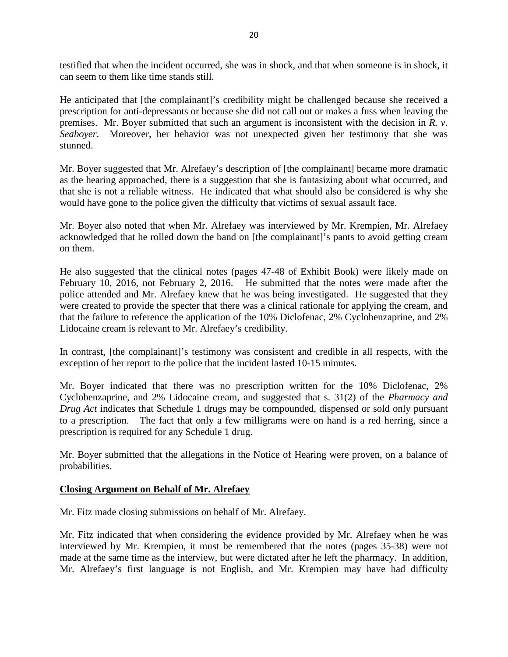testified that when the incident occurred, she was in shock, and that when someone is in shock, it can seem to them like time stands still.

He anticipated that [the complainant]'s credibility might be challenged because she received a prescription for anti-depressants or because she did not call out or makes a fuss when leaving the premises. Mr. Boyer submitted that such an argument is inconsistent with the decision in *R. v. Seaboyer*. Moreover, her behavior was not unexpected given her testimony that she was stunned.

Mr. Boyer suggested that Mr. Alrefaey's description of [the complainant] became more dramatic as the hearing approached, there is a suggestion that she is fantasizing about what occurred, and that she is not a reliable witness. He indicated that what should also be considered is why she would have gone to the police given the difficulty that victims of sexual assault face.

Mr. Boyer also noted that when Mr. Alrefaey was interviewed by Mr. Krempien, Mr. Alrefaey acknowledged that he rolled down the band on [the complainant]'s pants to avoid getting cream on them.

He also suggested that the clinical notes (pages 47-48 of Exhibit Book) were likely made on February 10, 2016, not February 2, 2016. He submitted that the notes were made after the police attended and Mr. Alrefaey knew that he was being investigated. He suggested that they were created to provide the specter that there was a clinical rationale for applying the cream, and that the failure to reference the application of the 10% Diclofenac, 2% Cyclobenzaprine, and 2% Lidocaine cream is relevant to Mr. Alrefaey's credibility.

In contrast, [the complainant]'s testimony was consistent and credible in all respects, with the exception of her report to the police that the incident lasted 10-15 minutes.

Mr. Boyer indicated that there was no prescription written for the 10% Diclofenac, 2% Cyclobenzaprine, and 2% Lidocaine cream, and suggested that s. 31(2) of the *Pharmacy and Drug Act* indicates that Schedule 1 drugs may be compounded, dispensed or sold only pursuant to a prescription. The fact that only a few milligrams were on hand is a red herring, since a prescription is required for any Schedule 1 drug.

Mr. Boyer submitted that the allegations in the Notice of Hearing were proven, on a balance of probabilities.

#### **Closing Argument on Behalf of Mr. Alrefaey**

Mr. Fitz made closing submissions on behalf of Mr. Alrefaey.

Mr. Fitz indicated that when considering the evidence provided by Mr. Alrefaey when he was interviewed by Mr. Krempien, it must be remembered that the notes (pages 35-38) were not made at the same time as the interview, but were dictated after he left the pharmacy. In addition, Mr. Alrefaey's first language is not English, and Mr. Krempien may have had difficulty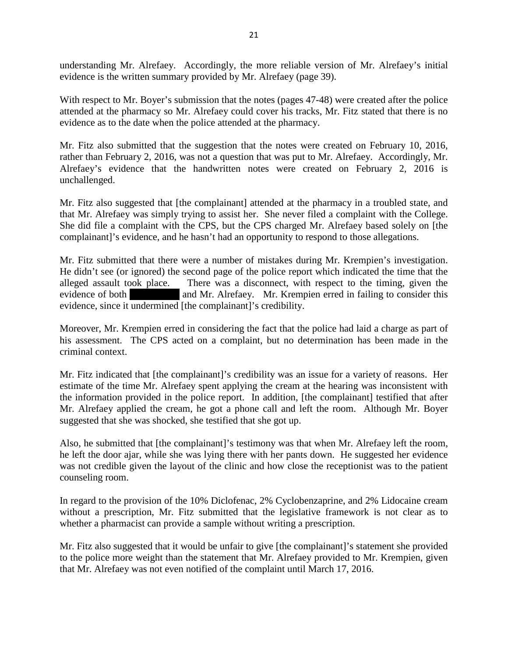understanding Mr. Alrefaey. Accordingly, the more reliable version of Mr. Alrefaey's initial evidence is the written summary provided by Mr. Alrefaey (page 39).

With respect to Mr. Boyer's submission that the notes (pages 47-48) were created after the police attended at the pharmacy so Mr. Alrefaey could cover his tracks, Mr. Fitz stated that there is no evidence as to the date when the police attended at the pharmacy.

Mr. Fitz also submitted that the suggestion that the notes were created on February 10, 2016, rather than February 2, 2016, was not a question that was put to Mr. Alrefaey. Accordingly, Mr. Alrefaey's evidence that the handwritten notes were created on February 2, 2016 is unchallenged.

Mr. Fitz also suggested that [the complainant] attended at the pharmacy in a troubled state, and that Mr. Alrefaey was simply trying to assist her. She never filed a complaint with the College. She did file a complaint with the CPS, but the CPS charged Mr. Alrefaey based solely on [the complainant]'s evidence, and he hasn't had an opportunity to respond to those allegations.

Mr. Fitz submitted that there were a number of mistakes during Mr. Krempien's investigation. He didn't see (or ignored) the second page of the police report which indicated the time that the alleged assault took place. There was a disconnect, with respect to the timing, given the evidence of both and Mr. Alrefaey. Mr. Krempien erred in failing to consider this evidence, since it undermined [the complainant]'s credibility.

Moreover, Mr. Krempien erred in considering the fact that the police had laid a charge as part of his assessment. The CPS acted on a complaint, but no determination has been made in the criminal context.

Mr. Fitz indicated that [the complainant]'s credibility was an issue for a variety of reasons. Her estimate of the time Mr. Alrefaey spent applying the cream at the hearing was inconsistent with the information provided in the police report. In addition, [the complainant] testified that after Mr. Alrefaey applied the cream, he got a phone call and left the room. Although Mr. Boyer suggested that she was shocked, she testified that she got up.

Also, he submitted that [the complainant]'s testimony was that when Mr. Alrefaey left the room, he left the door ajar, while she was lying there with her pants down. He suggested her evidence was not credible given the layout of the clinic and how close the receptionist was to the patient counseling room.

In regard to the provision of the 10% Diclofenac, 2% Cyclobenzaprine, and 2% Lidocaine cream without a prescription, Mr. Fitz submitted that the legislative framework is not clear as to whether a pharmacist can provide a sample without writing a prescription.

Mr. Fitz also suggested that it would be unfair to give [the complainant]'s statement she provided to the police more weight than the statement that Mr. Alrefaey provided to Mr. Krempien, given that Mr. Alrefaey was not even notified of the complaint until March 17, 2016.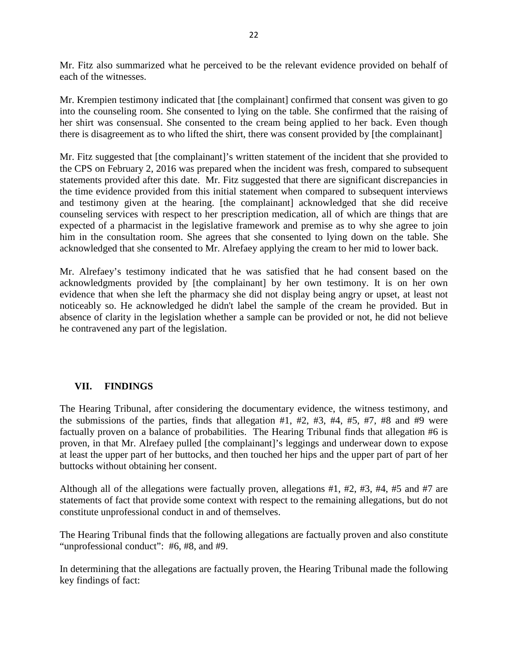Mr. Fitz also summarized what he perceived to be the relevant evidence provided on behalf of each of the witnesses.

Mr. Krempien testimony indicated that [the complainant] confirmed that consent was given to go into the counseling room. She consented to lying on the table. She confirmed that the raising of her shirt was consensual. She consented to the cream being applied to her back. Even though there is disagreement as to who lifted the shirt, there was consent provided by [the complainant]

Mr. Fitz suggested that [the complainant]'s written statement of the incident that she provided to the CPS on February 2, 2016 was prepared when the incident was fresh, compared to subsequent statements provided after this date. Mr. Fitz suggested that there are significant discrepancies in the time evidence provided from this initial statement when compared to subsequent interviews and testimony given at the hearing. [the complainant] acknowledged that she did receive counseling services with respect to her prescription medication, all of which are things that are expected of a pharmacist in the legislative framework and premise as to why she agree to join him in the consultation room. She agrees that she consented to lying down on the table. She acknowledged that she consented to Mr. Alrefaey applying the cream to her mid to lower back.

Mr. Alrefaey's testimony indicated that he was satisfied that he had consent based on the acknowledgments provided by [the complainant] by her own testimony. It is on her own evidence that when she left the pharmacy she did not display being angry or upset, at least not noticeably so. He acknowledged he didn't label the sample of the cream he provided. But in absence of clarity in the legislation whether a sample can be provided or not, he did not believe he contravened any part of the legislation.

# **VII. FINDINGS**

The Hearing Tribunal, after considering the documentary evidence, the witness testimony, and the submissions of the parties, finds that allegation  $#1, #2, #3, #4, #5, #7, #8$  and  $#9$  were factually proven on a balance of probabilities. The Hearing Tribunal finds that allegation #6 is proven, in that Mr. Alrefaey pulled [the complainant]'s leggings and underwear down to expose at least the upper part of her buttocks, and then touched her hips and the upper part of part of her buttocks without obtaining her consent.

Although all of the allegations were factually proven, allegations #1, #2, #3, #4, #5 and #7 are statements of fact that provide some context with respect to the remaining allegations, but do not constitute unprofessional conduct in and of themselves.

The Hearing Tribunal finds that the following allegations are factually proven and also constitute "unprofessional conduct": #6, #8, and #9.

In determining that the allegations are factually proven, the Hearing Tribunal made the following key findings of fact: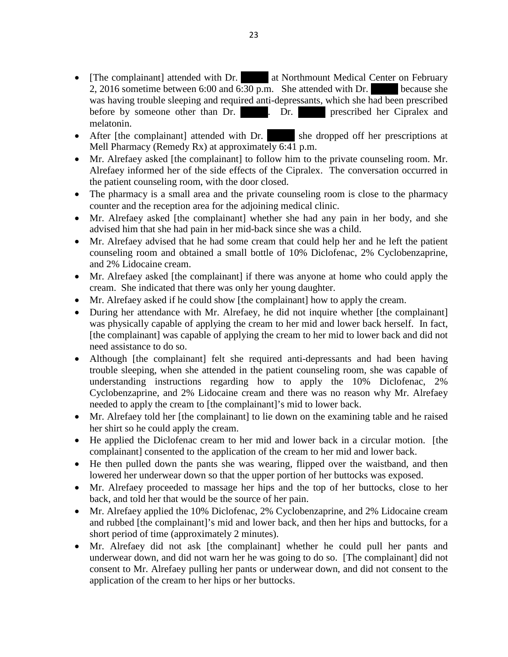- [The complainant] attended with Dr. at Northmount Medical Center on February 2, 2016 sometime between 6:00 and 6:30 p.m. She attended with Dr. because she was having trouble sleeping and required anti-depressants, which she had been prescribed before by someone other than Dr. Dr. Dr. Intersection prescribed her Cipralex and melatonin.
- After [the complainant] attended with Dr. she dropped off her prescriptions at Mell Pharmacy (Remedy Rx) at approximately  $6:41$  p.m.
- Mr. Alrefaey asked [the complainant] to follow him to the private counseling room. Mr. Alrefaey informed her of the side effects of the Cipralex. The conversation occurred in the patient counseling room, with the door closed.
- The pharmacy is a small area and the private counseling room is close to the pharmacy counter and the reception area for the adjoining medical clinic.
- Mr. Alrefaey asked [the complainant] whether she had any pain in her body, and she advised him that she had pain in her mid-back since she was a child.
- Mr. Alrefaey advised that he had some cream that could help her and he left the patient counseling room and obtained a small bottle of 10% Diclofenac, 2% Cyclobenzaprine, and 2% Lidocaine cream.
- Mr. Alrefaey asked [the complainant] if there was anyone at home who could apply the cream. She indicated that there was only her young daughter.
- Mr. Alrefaey asked if he could show [the complainant] how to apply the cream.
- During her attendance with Mr. Alrefaey, he did not inquire whether [the complainant] was physically capable of applying the cream to her mid and lower back herself. In fact, [the complainant] was capable of applying the cream to her mid to lower back and did not need assistance to do so.
- Although [the complainant] felt she required anti-depressants and had been having trouble sleeping, when she attended in the patient counseling room, she was capable of understanding instructions regarding how to apply the 10% Diclofenac, 2% Cyclobenzaprine, and 2% Lidocaine cream and there was no reason why Mr. Alrefaey needed to apply the cream to [the complainant]'s mid to lower back.
- Mr. Alrefaey told her [the complainant] to lie down on the examining table and he raised her shirt so he could apply the cream.
- He applied the Diclofenac cream to her mid and lower back in a circular motion. [the complainant] consented to the application of the cream to her mid and lower back.
- He then pulled down the pants she was wearing, flipped over the waistband, and then lowered her underwear down so that the upper portion of her buttocks was exposed.
- Mr. Alrefaey proceeded to massage her hips and the top of her buttocks, close to her back, and told her that would be the source of her pain.
- Mr. Alrefaey applied the 10% Diclofenac, 2% Cyclobenzaprine, and 2% Lidocaine cream and rubbed [the complainant]'s mid and lower back, and then her hips and buttocks, for a short period of time (approximately 2 minutes).
- Mr. Alrefaey did not ask [the complainant] whether he could pull her pants and underwear down, and did not warn her he was going to do so. [The complainant] did not consent to Mr. Alrefaey pulling her pants or underwear down, and did not consent to the application of the cream to her hips or her buttocks.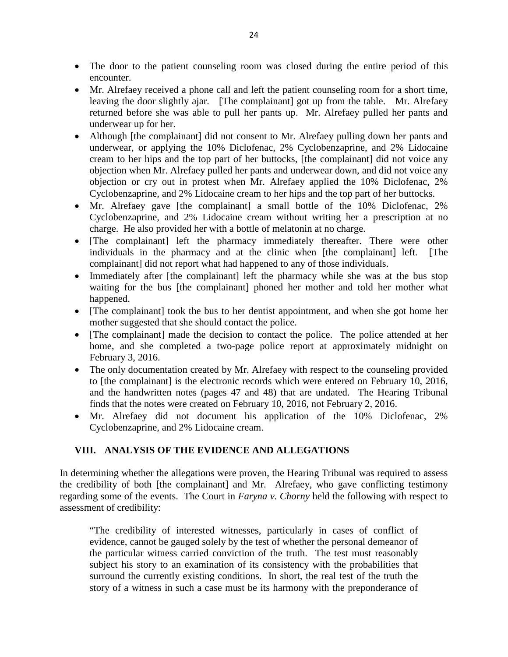- The door to the patient counseling room was closed during the entire period of this encounter.
- Mr. Alrefaey received a phone call and left the patient counseling room for a short time, leaving the door slightly ajar. [The complainant] got up from the table. Mr. Alrefaey returned before she was able to pull her pants up. Mr. Alrefaey pulled her pants and underwear up for her.
- Although [the complainant] did not consent to Mr. Alrefaey pulling down her pants and underwear, or applying the 10% Diclofenac, 2% Cyclobenzaprine, and 2% Lidocaine cream to her hips and the top part of her buttocks, [the complainant] did not voice any objection when Mr. Alrefaey pulled her pants and underwear down, and did not voice any objection or cry out in protest when Mr. Alrefaey applied the 10% Diclofenac, 2% Cyclobenzaprine, and 2% Lidocaine cream to her hips and the top part of her buttocks.
- Mr. Alrefaey gave [the complainant] a small bottle of the 10% Diclofenac, 2% Cyclobenzaprine, and 2% Lidocaine cream without writing her a prescription at no charge. He also provided her with a bottle of melatonin at no charge.
- [The complainant] left the pharmacy immediately thereafter. There were other individuals in the pharmacy and at the clinic when [the complainant] left. [The complainant] did not report what had happened to any of those individuals.
- Immediately after [the complainant] left the pharmacy while she was at the bus stop waiting for the bus [the complainant] phoned her mother and told her mother what happened.
- [The complainant] took the bus to her dentist appointment, and when she got home her mother suggested that she should contact the police.
- [The complainant] made the decision to contact the police. The police attended at her home, and she completed a two-page police report at approximately midnight on February 3, 2016.
- The only documentation created by Mr. Alrefaey with respect to the counseling provided to [the complainant] is the electronic records which were entered on February 10, 2016, and the handwritten notes (pages 47 and 48) that are undated. The Hearing Tribunal finds that the notes were created on February 10, 2016, not February 2, 2016.
- Mr. Alrefaey did not document his application of the 10% Diclofenac, 2% Cyclobenzaprine, and 2% Lidocaine cream.

## **VIII. ANALYSIS OF THE EVIDENCE AND ALLEGATIONS**

In determining whether the allegations were proven, the Hearing Tribunal was required to assess the credibility of both [the complainant] and Mr. Alrefaey, who gave conflicting testimony regarding some of the events. The Court in *Faryna v. Chorny* held the following with respect to assessment of credibility:

"The credibility of interested witnesses, particularly in cases of conflict of evidence, cannot be gauged solely by the test of whether the personal demeanor of the particular witness carried conviction of the truth. The test must reasonably subject his story to an examination of its consistency with the probabilities that surround the currently existing conditions. In short, the real test of the truth the story of a witness in such a case must be its harmony with the preponderance of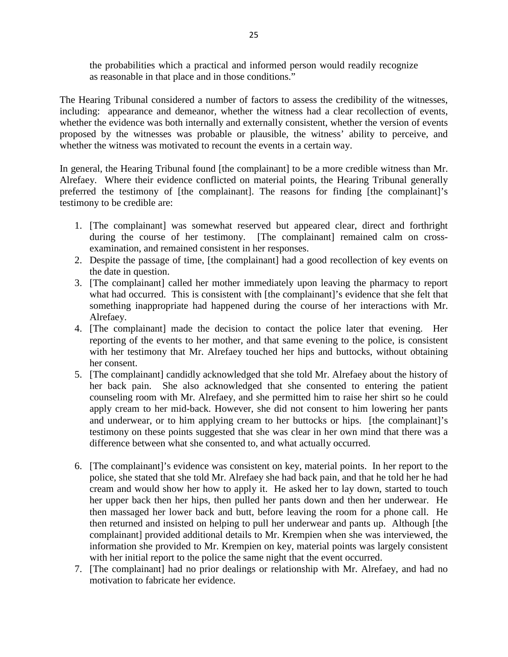the probabilities which a practical and informed person would readily recognize as reasonable in that place and in those conditions."

The Hearing Tribunal considered a number of factors to assess the credibility of the witnesses, including: appearance and demeanor, whether the witness had a clear recollection of events, whether the evidence was both internally and externally consistent, whether the version of events proposed by the witnesses was probable or plausible, the witness' ability to perceive, and whether the witness was motivated to recount the events in a certain way.

In general, the Hearing Tribunal found [the complainant] to be a more credible witness than Mr. Alrefaey. Where their evidence conflicted on material points, the Hearing Tribunal generally preferred the testimony of [the complainant]. The reasons for finding [the complainant]'s testimony to be credible are:

- 1. [The complainant] was somewhat reserved but appeared clear, direct and forthright during the course of her testimony. [The complainant] remained calm on crossexamination, and remained consistent in her responses.
- 2. Despite the passage of time, [the complainant] had a good recollection of key events on the date in question.
- 3. [The complainant] called her mother immediately upon leaving the pharmacy to report what had occurred. This is consistent with [the complainant]'s evidence that she felt that something inappropriate had happened during the course of her interactions with Mr. Alrefaey.
- 4. [The complainant] made the decision to contact the police later that evening. Her reporting of the events to her mother, and that same evening to the police, is consistent with her testimony that Mr. Alrefaey touched her hips and buttocks, without obtaining her consent.
- 5. [The complainant] candidly acknowledged that she told Mr. Alrefaey about the history of her back pain. She also acknowledged that she consented to entering the patient counseling room with Mr. Alrefaey, and she permitted him to raise her shirt so he could apply cream to her mid-back. However, she did not consent to him lowering her pants and underwear, or to him applying cream to her buttocks or hips. [the complainant]'s testimony on these points suggested that she was clear in her own mind that there was a difference between what she consented to, and what actually occurred.
- 6. [The complainant]'s evidence was consistent on key, material points. In her report to the police, she stated that she told Mr. Alrefaey she had back pain, and that he told her he had cream and would show her how to apply it. He asked her to lay down, started to touch her upper back then her hips, then pulled her pants down and then her underwear. He then massaged her lower back and butt, before leaving the room for a phone call. He then returned and insisted on helping to pull her underwear and pants up. Although [the complainant] provided additional details to Mr. Krempien when she was interviewed, the information she provided to Mr. Krempien on key, material points was largely consistent with her initial report to the police the same night that the event occurred.
- 7. [The complainant] had no prior dealings or relationship with Mr. Alrefaey, and had no motivation to fabricate her evidence.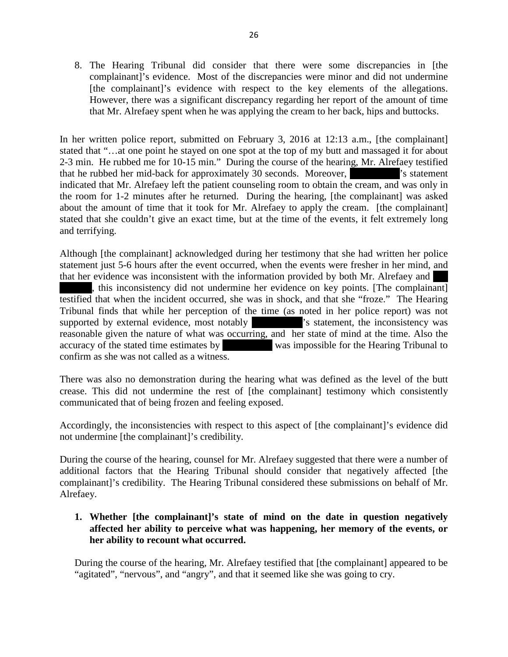8. The Hearing Tribunal did consider that there were some discrepancies in [the complainant]'s evidence. Most of the discrepancies were minor and did not undermine [the complainant]'s evidence with respect to the key elements of the allegations. However, there was a significant discrepancy regarding her report of the amount of time that Mr. Alrefaey spent when he was applying the cream to her back, hips and buttocks.

In her written police report, submitted on February 3, 2016 at 12:13 a.m., [the complainant] stated that "…at one point he stayed on one spot at the top of my butt and massaged it for about 2-3 min. He rubbed me for 10-15 min." During the course of the hearing, Mr. Alrefaey testified that he rubbed her mid-back for approximately 30 seconds. Moreover,  $\cdot$  is statement indicated that Mr. Alrefaey left the patient counseling room to obtain the cream, and was only in the room for 1-2 minutes after he returned. During the hearing, [the complainant] was asked about the amount of time that it took for Mr. Alrefaey to apply the cream. [the complainant] stated that she couldn't give an exact time, but at the time of the events, it felt extremely long and terrifying.

Although [the complainant] acknowledged during her testimony that she had written her police statement just 5-6 hours after the event occurred, when the events were fresher in her mind, and that her evidence was inconsistent with the information provided by both Mr. Alrefaey and this inconsistency did not undermine her evidence on key points. [The complainant] testified that when the incident occurred, she was in shock, and that she "froze." The Hearing Tribunal finds that while her perception of the time (as noted in her police report) was not supported by external evidence, most notably statement, the inconsistency was reasonable given the nature of what was occurring, and her state of mind at the time. Also the accuracy of the stated time estimates by  $\sim$  was impossible for the Hearing Tribunal to confirm as she was not called as a witness.

There was also no demonstration during the hearing what was defined as the level of the butt crease. This did not undermine the rest of [the complainant] testimony which consistently communicated that of being frozen and feeling exposed.

Accordingly, the inconsistencies with respect to this aspect of [the complainant]'s evidence did not undermine [the complainant]'s credibility.

During the course of the hearing, counsel for Mr. Alrefaey suggested that there were a number of additional factors that the Hearing Tribunal should consider that negatively affected [the complainant]'s credibility. The Hearing Tribunal considered these submissions on behalf of Mr. Alrefaey.

## **1. Whether [the complainant]'s state of mind on the date in question negatively affected her ability to perceive what was happening, her memory of the events, or her ability to recount what occurred.**

During the course of the hearing, Mr. Alrefaey testified that [the complainant] appeared to be "agitated", "nervous", and "angry", and that it seemed like she was going to cry.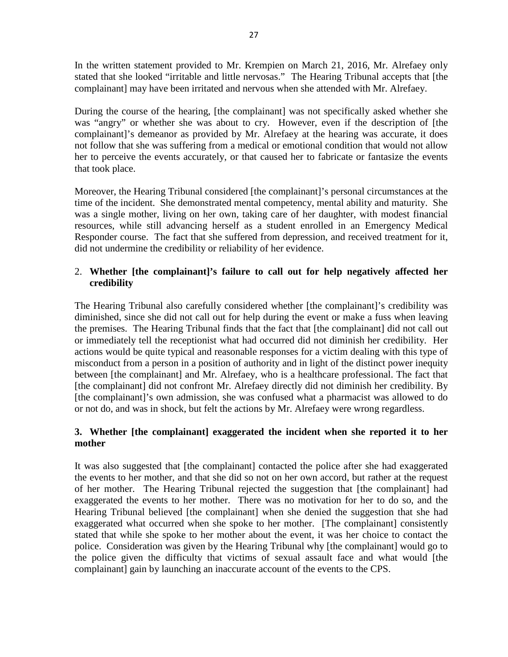In the written statement provided to Mr. Krempien on March 21, 2016, Mr. Alrefaey only stated that she looked "irritable and little nervosas." The Hearing Tribunal accepts that [the complainant] may have been irritated and nervous when she attended with Mr. Alrefaey.

During the course of the hearing, [the complainant] was not specifically asked whether she was "angry" or whether she was about to cry. However, even if the description of [the complainant]'s demeanor as provided by Mr. Alrefaey at the hearing was accurate, it does not follow that she was suffering from a medical or emotional condition that would not allow her to perceive the events accurately, or that caused her to fabricate or fantasize the events that took place.

Moreover, the Hearing Tribunal considered [the complainant]'s personal circumstances at the time of the incident. She demonstrated mental competency, mental ability and maturity. She was a single mother, living on her own, taking care of her daughter, with modest financial resources, while still advancing herself as a student enrolled in an Emergency Medical Responder course. The fact that she suffered from depression, and received treatment for it, did not undermine the credibility or reliability of her evidence.

## 2. **Whether [the complainant]'s failure to call out for help negatively affected her credibility**

The Hearing Tribunal also carefully considered whether [the complainant]'s credibility was diminished, since she did not call out for help during the event or make a fuss when leaving the premises. The Hearing Tribunal finds that the fact that [the complainant] did not call out or immediately tell the receptionist what had occurred did not diminish her credibility. Her actions would be quite typical and reasonable responses for a victim dealing with this type of misconduct from a person in a position of authority and in light of the distinct power inequity between [the complainant] and Mr. Alrefaey, who is a healthcare professional. The fact that [the complainant] did not confront Mr. Alrefaey directly did not diminish her credibility. By [the complainant]'s own admission, she was confused what a pharmacist was allowed to do or not do, and was in shock, but felt the actions by Mr. Alrefaey were wrong regardless.

## **3. Whether [the complainant] exaggerated the incident when she reported it to her mother**

It was also suggested that [the complainant] contacted the police after she had exaggerated the events to her mother, and that she did so not on her own accord, but rather at the request of her mother. The Hearing Tribunal rejected the suggestion that [the complainant] had exaggerated the events to her mother. There was no motivation for her to do so, and the Hearing Tribunal believed [the complainant] when she denied the suggestion that she had exaggerated what occurred when she spoke to her mother. [The complainant] consistently stated that while she spoke to her mother about the event, it was her choice to contact the police. Consideration was given by the Hearing Tribunal why [the complainant] would go to the police given the difficulty that victims of sexual assault face and what would [the complainant] gain by launching an inaccurate account of the events to the CPS.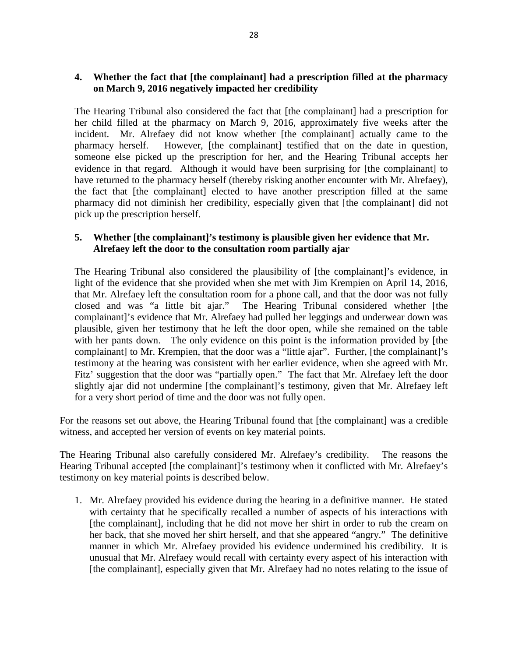## **4. Whether the fact that [the complainant] had a prescription filled at the pharmacy on March 9, 2016 negatively impacted her credibility**

The Hearing Tribunal also considered the fact that [the complainant] had a prescription for her child filled at the pharmacy on March 9, 2016, approximately five weeks after the incident. Mr. Alrefaey did not know whether [the complainant] actually came to the pharmacy herself. However, [the complainant] testified that on the date in question, someone else picked up the prescription for her, and the Hearing Tribunal accepts her evidence in that regard. Although it would have been surprising for [the complainant] to have returned to the pharmacy herself (thereby risking another encounter with Mr. Alrefaey), the fact that [the complainant] elected to have another prescription filled at the same pharmacy did not diminish her credibility, especially given that [the complainant] did not pick up the prescription herself.

## **5. Whether [the complainant]'s testimony is plausible given her evidence that Mr. Alrefaey left the door to the consultation room partially ajar**

The Hearing Tribunal also considered the plausibility of [the complainant]'s evidence, in light of the evidence that she provided when she met with Jim Krempien on April 14, 2016, that Mr. Alrefaey left the consultation room for a phone call, and that the door was not fully closed and was "a little bit ajar." The Hearing Tribunal considered whether [the complainant]'s evidence that Mr. Alrefaey had pulled her leggings and underwear down was plausible, given her testimony that he left the door open, while she remained on the table with her pants down. The only evidence on this point is the information provided by [the complainant] to Mr. Krempien, that the door was a "little ajar". Further, [the complainant]'s testimony at the hearing was consistent with her earlier evidence, when she agreed with Mr. Fitz' suggestion that the door was "partially open." The fact that Mr. Alrefaey left the door slightly ajar did not undermine [the complainant]'s testimony, given that Mr. Alrefaey left for a very short period of time and the door was not fully open.

For the reasons set out above, the Hearing Tribunal found that [the complainant] was a credible witness, and accepted her version of events on key material points.

The Hearing Tribunal also carefully considered Mr. Alrefaey's credibility. The reasons the Hearing Tribunal accepted [the complainant]'s testimony when it conflicted with Mr. Alrefaey's testimony on key material points is described below.

1. Mr. Alrefaey provided his evidence during the hearing in a definitive manner. He stated with certainty that he specifically recalled a number of aspects of his interactions with [the complainant], including that he did not move her shirt in order to rub the cream on her back, that she moved her shirt herself, and that she appeared "angry." The definitive manner in which Mr. Alrefaey provided his evidence undermined his credibility. It is unusual that Mr. Alrefaey would recall with certainty every aspect of his interaction with [the complainant], especially given that Mr. Alrefaey had no notes relating to the issue of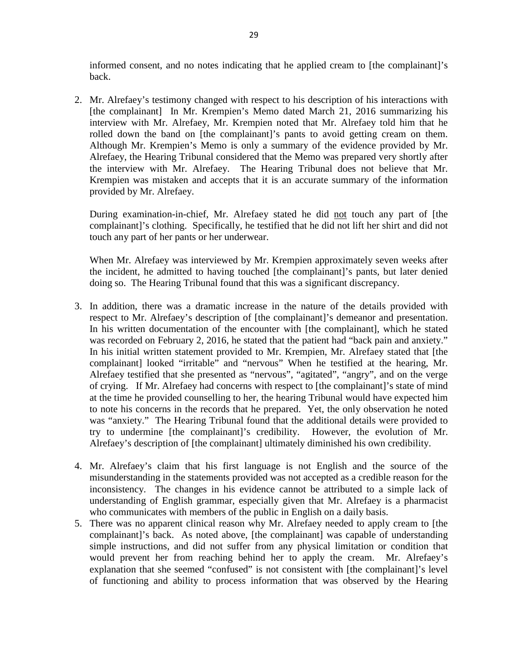informed consent, and no notes indicating that he applied cream to [the complainant]'s back.

2. Mr. Alrefaey's testimony changed with respect to his description of his interactions with [the complainant] In Mr. Krempien's Memo dated March 21, 2016 summarizing his interview with Mr. Alrefaey, Mr. Krempien noted that Mr. Alrefaey told him that he rolled down the band on [the complainant]'s pants to avoid getting cream on them. Although Mr. Krempien's Memo is only a summary of the evidence provided by Mr. Alrefaey, the Hearing Tribunal considered that the Memo was prepared very shortly after the interview with Mr. Alrefaey. The Hearing Tribunal does not believe that Mr. Krempien was mistaken and accepts that it is an accurate summary of the information provided by Mr. Alrefaey.

During examination-in-chief, Mr. Alrefaey stated he did not touch any part of [the complainant]'s clothing. Specifically, he testified that he did not lift her shirt and did not touch any part of her pants or her underwear.

When Mr. Alrefaey was interviewed by Mr. Krempien approximately seven weeks after the incident, he admitted to having touched [the complainant]'s pants, but later denied doing so. The Hearing Tribunal found that this was a significant discrepancy.

- 3. In addition, there was a dramatic increase in the nature of the details provided with respect to Mr. Alrefaey's description of [the complainant]'s demeanor and presentation. In his written documentation of the encounter with [the complainant], which he stated was recorded on February 2, 2016, he stated that the patient had "back pain and anxiety." In his initial written statement provided to Mr. Krempien, Mr. Alrefaey stated that [the complainant] looked "irritable" and "nervous" When he testified at the hearing, Mr. Alrefaey testified that she presented as "nervous", "agitated", "angry", and on the verge of crying. If Mr. Alrefaey had concerns with respect to [the complainant]'s state of mind at the time he provided counselling to her, the hearing Tribunal would have expected him to note his concerns in the records that he prepared. Yet, the only observation he noted was "anxiety." The Hearing Tribunal found that the additional details were provided to try to undermine [the complainant]'s credibility. However, the evolution of Mr. Alrefaey's description of [the complainant] ultimately diminished his own credibility.
- 4. Mr. Alrefaey's claim that his first language is not English and the source of the misunderstanding in the statements provided was not accepted as a credible reason for the inconsistency. The changes in his evidence cannot be attributed to a simple lack of understanding of English grammar, especially given that Mr. Alrefaey is a pharmacist who communicates with members of the public in English on a daily basis.
- 5. There was no apparent clinical reason why Mr. Alrefaey needed to apply cream to [the complainant]'s back. As noted above, [the complainant] was capable of understanding simple instructions, and did not suffer from any physical limitation or condition that would prevent her from reaching behind her to apply the cream. Mr. Alrefaey's explanation that she seemed "confused" is not consistent with [the complainant]'s level of functioning and ability to process information that was observed by the Hearing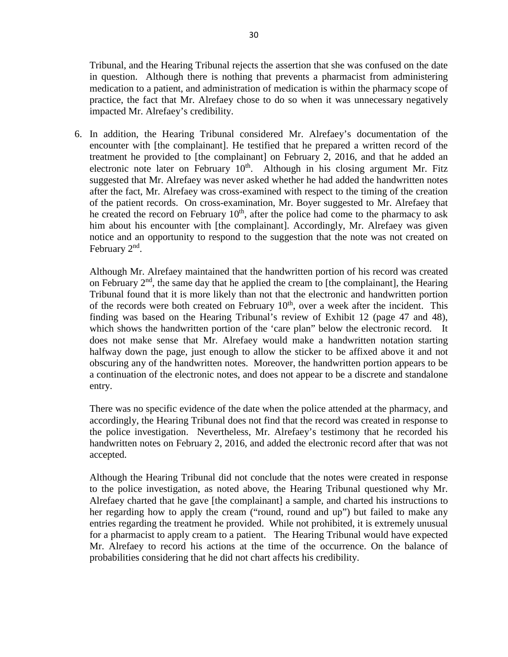Tribunal, and the Hearing Tribunal rejects the assertion that she was confused on the date in question. Although there is nothing that prevents a pharmacist from administering medication to a patient, and administration of medication is within the pharmacy scope of practice, the fact that Mr. Alrefaey chose to do so when it was unnecessary negatively impacted Mr. Alrefaey's credibility.

6. In addition, the Hearing Tribunal considered Mr. Alrefaey's documentation of the encounter with [the complainant]. He testified that he prepared a written record of the treatment he provided to [the complainant] on February 2, 2016, and that he added an electronic note later on February  $10<sup>th</sup>$ . Although in his closing argument Mr. Fitz suggested that Mr. Alrefaey was never asked whether he had added the handwritten notes after the fact, Mr. Alrefaey was cross-examined with respect to the timing of the creation of the patient records. On cross-examination, Mr. Boyer suggested to Mr. Alrefaey that he created the record on February  $10<sup>th</sup>$ , after the police had come to the pharmacy to ask him about his encounter with [the complainant]. Accordingly, Mr. Alrefaey was given notice and an opportunity to respond to the suggestion that the note was not created on February  $2<sup>nd</sup>$ .

Although Mr. Alrefaey maintained that the handwritten portion of his record was created on February  $2<sup>nd</sup>$ , the same day that he applied the cream to [the complainant], the Hearing Tribunal found that it is more likely than not that the electronic and handwritten portion of the records were both created on February  $10<sup>th</sup>$ , over a week after the incident. This finding was based on the Hearing Tribunal's review of Exhibit 12 (page 47 and 48), which shows the handwritten portion of the 'care plan'' below the electronic record. It does not make sense that Mr. Alrefaey would make a handwritten notation starting halfway down the page, just enough to allow the sticker to be affixed above it and not obscuring any of the handwritten notes. Moreover, the handwritten portion appears to be a continuation of the electronic notes, and does not appear to be a discrete and standalone entry.

There was no specific evidence of the date when the police attended at the pharmacy, and accordingly, the Hearing Tribunal does not find that the record was created in response to the police investigation. Nevertheless, Mr. Alrefaey's testimony that he recorded his handwritten notes on February 2, 2016, and added the electronic record after that was not accepted.

Although the Hearing Tribunal did not conclude that the notes were created in response to the police investigation, as noted above, the Hearing Tribunal questioned why Mr. Alrefaey charted that he gave [the complainant] a sample, and charted his instructions to her regarding how to apply the cream ("round, round and up") but failed to make any entries regarding the treatment he provided. While not prohibited, it is extremely unusual for a pharmacist to apply cream to a patient. The Hearing Tribunal would have expected Mr. Alrefaey to record his actions at the time of the occurrence. On the balance of probabilities considering that he did not chart affects his credibility.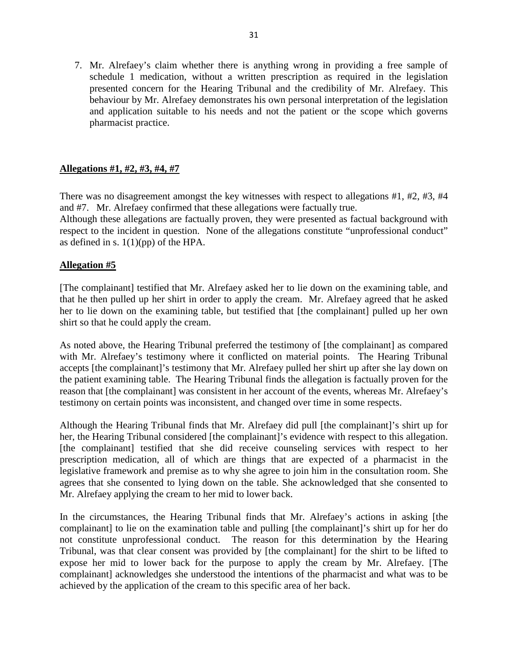7. Mr. Alrefaey's claim whether there is anything wrong in providing a free sample of schedule 1 medication, without a written prescription as required in the legislation presented concern for the Hearing Tribunal and the credibility of Mr. Alrefaey. This behaviour by Mr. Alrefaey demonstrates his own personal interpretation of the legislation and application suitable to his needs and not the patient or the scope which governs pharmacist practice.

## **Allegations #1, #2, #3, #4, #7**

There was no disagreement amongst the key witnesses with respect to allegations #1, #2, #3, #4 and #7. Mr. Alrefaey confirmed that these allegations were factually true. Although these allegations are factually proven, they were presented as factual background with respect to the incident in question. None of the allegations constitute "unprofessional conduct" as defined in s.  $1(1)(pp)$  of the HPA.

#### **Allegation #5**

[The complainant] testified that Mr. Alrefaey asked her to lie down on the examining table, and that he then pulled up her shirt in order to apply the cream. Mr. Alrefaey agreed that he asked her to lie down on the examining table, but testified that [the complainant] pulled up her own shirt so that he could apply the cream.

As noted above, the Hearing Tribunal preferred the testimony of [the complainant] as compared with Mr. Alrefaey's testimony where it conflicted on material points. The Hearing Tribunal accepts [the complainant]'s testimony that Mr. Alrefaey pulled her shirt up after she lay down on the patient examining table. The Hearing Tribunal finds the allegation is factually proven for the reason that [the complainant] was consistent in her account of the events, whereas Mr. Alrefaey's testimony on certain points was inconsistent, and changed over time in some respects.

Although the Hearing Tribunal finds that Mr. Alrefaey did pull [the complainant]'s shirt up for her, the Hearing Tribunal considered [the complainant]'s evidence with respect to this allegation. [the complainant] testified that she did receive counseling services with respect to her prescription medication, all of which are things that are expected of a pharmacist in the legislative framework and premise as to why she agree to join him in the consultation room. She agrees that she consented to lying down on the table. She acknowledged that she consented to Mr. Alrefaey applying the cream to her mid to lower back.

In the circumstances, the Hearing Tribunal finds that Mr. Alrefaey's actions in asking [the complainant] to lie on the examination table and pulling [the complainant]'s shirt up for her do not constitute unprofessional conduct. The reason for this determination by the Hearing Tribunal, was that clear consent was provided by [the complainant] for the shirt to be lifted to expose her mid to lower back for the purpose to apply the cream by Mr. Alrefaey. [The complainant] acknowledges she understood the intentions of the pharmacist and what was to be achieved by the application of the cream to this specific area of her back.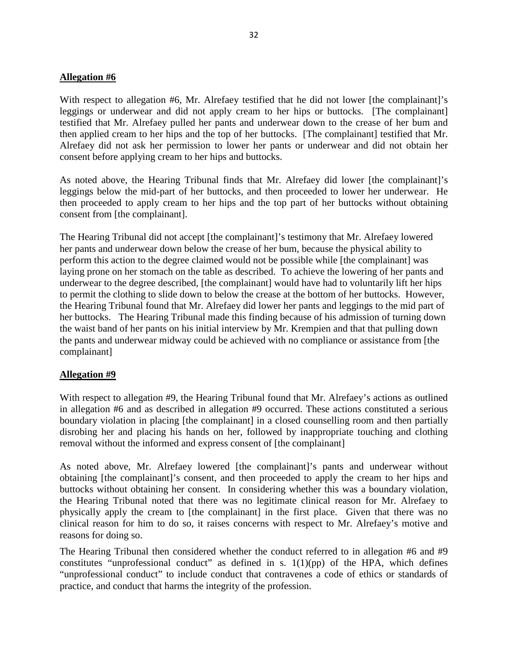#### **Allegation #6**

With respect to allegation #6, Mr. Alrefaey testified that he did not lower [the complainant]'s leggings or underwear and did not apply cream to her hips or buttocks. [The complainant] testified that Mr. Alrefaey pulled her pants and underwear down to the crease of her bum and then applied cream to her hips and the top of her buttocks. [The complainant] testified that Mr. Alrefaey did not ask her permission to lower her pants or underwear and did not obtain her consent before applying cream to her hips and buttocks.

As noted above, the Hearing Tribunal finds that Mr. Alrefaey did lower [the complainant]'s leggings below the mid-part of her buttocks, and then proceeded to lower her underwear. He then proceeded to apply cream to her hips and the top part of her buttocks without obtaining consent from [the complainant].

The Hearing Tribunal did not accept [the complainant]'s testimony that Mr. Alrefaey lowered her pants and underwear down below the crease of her bum, because the physical ability to perform this action to the degree claimed would not be possible while [the complainant] was laying prone on her stomach on the table as described. To achieve the lowering of her pants and underwear to the degree described, [the complainant] would have had to voluntarily lift her hips to permit the clothing to slide down to below the crease at the bottom of her buttocks. However, the Hearing Tribunal found that Mr. Alrefaey did lower her pants and leggings to the mid part of her buttocks. The Hearing Tribunal made this finding because of his admission of turning down the waist band of her pants on his initial interview by Mr. Krempien and that that pulling down the pants and underwear midway could be achieved with no compliance or assistance from [the complainant]

#### **Allegation #9**

With respect to allegation #9, the Hearing Tribunal found that Mr. Alrefaey's actions as outlined in allegation #6 and as described in allegation #9 occurred. These actions constituted a serious boundary violation in placing [the complainant] in a closed counselling room and then partially disrobing her and placing his hands on her, followed by inappropriate touching and clothing removal without the informed and express consent of [the complainant]

As noted above, Mr. Alrefaey lowered [the complainant]'s pants and underwear without obtaining [the complainant]'s consent, and then proceeded to apply the cream to her hips and buttocks without obtaining her consent. In considering whether this was a boundary violation, the Hearing Tribunal noted that there was no legitimate clinical reason for Mr. Alrefaey to physically apply the cream to [the complainant] in the first place. Given that there was no clinical reason for him to do so, it raises concerns with respect to Mr. Alrefaey's motive and reasons for doing so.

The Hearing Tribunal then considered whether the conduct referred to in allegation #6 and #9 constitutes "unprofessional conduct" as defined in s.  $1(1)(pp)$  of the HPA, which defines "unprofessional conduct" to include conduct that contravenes a code of ethics or standards of practice, and conduct that harms the integrity of the profession.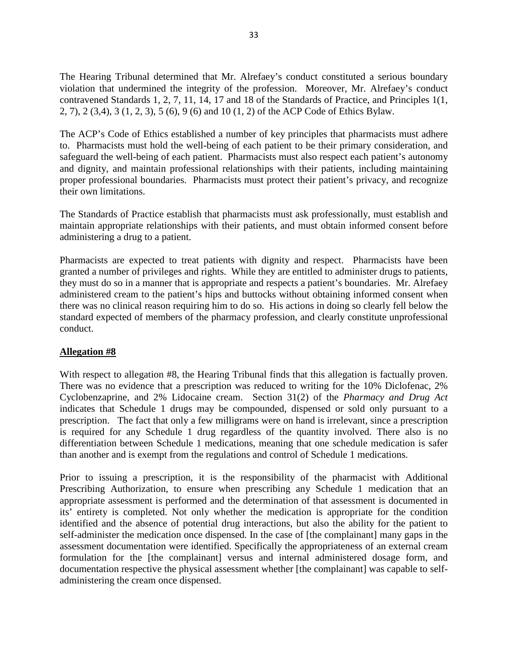The Hearing Tribunal determined that Mr. Alrefaey's conduct constituted a serious boundary violation that undermined the integrity of the profession. Moreover, Mr. Alrefaey's conduct contravened Standards 1, 2, 7, 11, 14, 17 and 18 of the Standards of Practice, and Principles 1(1, 2, 7), 2 (3,4), 3 (1, 2, 3), 5 (6), 9 (6) and 10 (1, 2) of the ACP Code of Ethics Bylaw.

The ACP's Code of Ethics established a number of key principles that pharmacists must adhere to. Pharmacists must hold the well-being of each patient to be their primary consideration, and safeguard the well-being of each patient. Pharmacists must also respect each patient's autonomy and dignity, and maintain professional relationships with their patients, including maintaining proper professional boundaries. Pharmacists must protect their patient's privacy, and recognize their own limitations.

The Standards of Practice establish that pharmacists must ask professionally, must establish and maintain appropriate relationships with their patients, and must obtain informed consent before administering a drug to a patient.

Pharmacists are expected to treat patients with dignity and respect. Pharmacists have been granted a number of privileges and rights. While they are entitled to administer drugs to patients, they must do so in a manner that is appropriate and respects a patient's boundaries. Mr. Alrefaey administered cream to the patient's hips and buttocks without obtaining informed consent when there was no clinical reason requiring him to do so. His actions in doing so clearly fell below the standard expected of members of the pharmacy profession, and clearly constitute unprofessional conduct.

## **Allegation #8**

With respect to allegation #8, the Hearing Tribunal finds that this allegation is factually proven. There was no evidence that a prescription was reduced to writing for the 10% Diclofenac, 2% Cyclobenzaprine, and 2% Lidocaine cream. Section 31(2) of the *Pharmacy and Drug Act*  indicates that Schedule 1 drugs may be compounded, dispensed or sold only pursuant to a prescription. The fact that only a few milligrams were on hand is irrelevant, since a prescription is required for any Schedule 1 drug regardless of the quantity involved. There also is no differentiation between Schedule 1 medications, meaning that one schedule medication is safer than another and is exempt from the regulations and control of Schedule 1 medications.

Prior to issuing a prescription, it is the responsibility of the pharmacist with Additional Prescribing Authorization, to ensure when prescribing any Schedule 1 medication that an appropriate assessment is performed and the determination of that assessment is documented in its' entirety is completed. Not only whether the medication is appropriate for the condition identified and the absence of potential drug interactions, but also the ability for the patient to self-administer the medication once dispensed. In the case of [the complainant] many gaps in the assessment documentation were identified. Specifically the appropriateness of an external cream formulation for the [the complainant] versus and internal administered dosage form, and documentation respective the physical assessment whether [the complainant] was capable to selfadministering the cream once dispensed.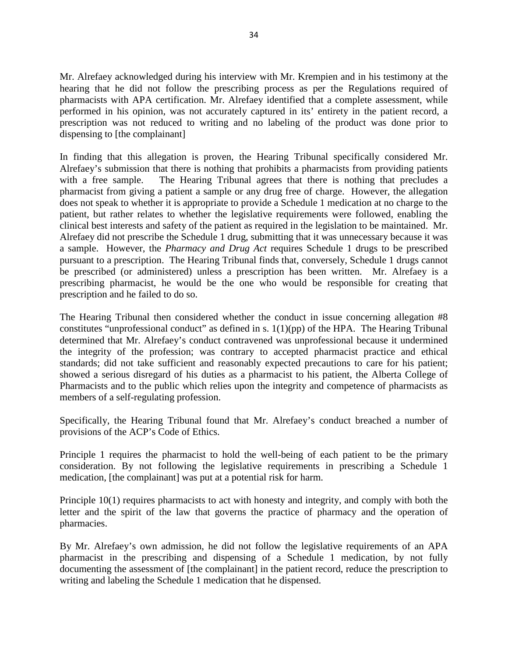Mr. Alrefaey acknowledged during his interview with Mr. Krempien and in his testimony at the hearing that he did not follow the prescribing process as per the Regulations required of pharmacists with APA certification. Mr. Alrefaey identified that a complete assessment, while performed in his opinion, was not accurately captured in its' entirety in the patient record, a prescription was not reduced to writing and no labeling of the product was done prior to dispensing to [the complainant]

In finding that this allegation is proven, the Hearing Tribunal specifically considered Mr. Alrefaey's submission that there is nothing that prohibits a pharmacists from providing patients with a free sample. The Hearing Tribunal agrees that there is nothing that precludes a pharmacist from giving a patient a sample or any drug free of charge. However, the allegation does not speak to whether it is appropriate to provide a Schedule 1 medication at no charge to the patient, but rather relates to whether the legislative requirements were followed, enabling the clinical best interests and safety of the patient as required in the legislation to be maintained. Mr. Alrefaey did not prescribe the Schedule 1 drug, submitting that it was unnecessary because it was a sample. However, the *Pharmacy and Drug Act* requires Schedule 1 drugs to be prescribed pursuant to a prescription. The Hearing Tribunal finds that, conversely, Schedule 1 drugs cannot be prescribed (or administered) unless a prescription has been written. Mr. Alrefaey is a prescribing pharmacist, he would be the one who would be responsible for creating that prescription and he failed to do so.

The Hearing Tribunal then considered whether the conduct in issue concerning allegation #8 constitutes "unprofessional conduct" as defined in s.  $1(1)(pp)$  of the HPA. The Hearing Tribunal determined that Mr. Alrefaey's conduct contravened was unprofessional because it undermined the integrity of the profession; was contrary to accepted pharmacist practice and ethical standards; did not take sufficient and reasonably expected precautions to care for his patient; showed a serious disregard of his duties as a pharmacist to his patient, the Alberta College of Pharmacists and to the public which relies upon the integrity and competence of pharmacists as members of a self-regulating profession.

Specifically, the Hearing Tribunal found that Mr. Alrefaey's conduct breached a number of provisions of the ACP's Code of Ethics.

Principle 1 requires the pharmacist to hold the well-being of each patient to be the primary consideration. By not following the legislative requirements in prescribing a Schedule 1 medication, [the complainant] was put at a potential risk for harm.

Principle 10(1) requires pharmacists to act with honesty and integrity, and comply with both the letter and the spirit of the law that governs the practice of pharmacy and the operation of pharmacies.

By Mr. Alrefaey's own admission, he did not follow the legislative requirements of an APA pharmacist in the prescribing and dispensing of a Schedule 1 medication, by not fully documenting the assessment of [the complainant] in the patient record, reduce the prescription to writing and labeling the Schedule 1 medication that he dispensed.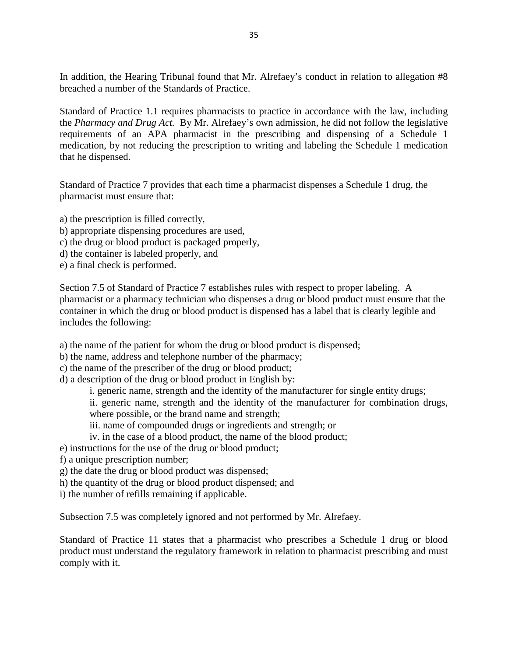In addition, the Hearing Tribunal found that Mr. Alrefaey's conduct in relation to allegation #8 breached a number of the Standards of Practice.

Standard of Practice 1.1 requires pharmacists to practice in accordance with the law, including the *Pharmacy and Drug Act.* By Mr. Alrefaey's own admission, he did not follow the legislative requirements of an APA pharmacist in the prescribing and dispensing of a Schedule 1 medication, by not reducing the prescription to writing and labeling the Schedule 1 medication that he dispensed.

Standard of Practice 7 provides that each time a pharmacist dispenses a Schedule 1 drug, the pharmacist must ensure that:

a) the prescription is filled correctly, b) appropriate dispensing procedures are used, c) the drug or blood product is packaged properly, d) the container is labeled properly, and e) a final check is performed.

Section 7.5 of Standard of Practice 7 establishes rules with respect to proper labeling. A pharmacist or a pharmacy technician who dispenses a drug or blood product must ensure that the container in which the drug or blood product is dispensed has a label that is clearly legible and includes the following:

a) the name of the patient for whom the drug or blood product is dispensed;

b) the name, address and telephone number of the pharmacy;

c) the name of the prescriber of the drug or blood product;

d) a description of the drug or blood product in English by:

i. generic name, strength and the identity of the manufacturer for single entity drugs;

ii. generic name, strength and the identity of the manufacturer for combination drugs, where possible, or the brand name and strength;

iii. name of compounded drugs or ingredients and strength; or

iv. in the case of a blood product, the name of the blood product;

e) instructions for the use of the drug or blood product;

- f) a unique prescription number;
- g) the date the drug or blood product was dispensed;
- h) the quantity of the drug or blood product dispensed; and

i) the number of refills remaining if applicable.

Subsection 7.5 was completely ignored and not performed by Mr. Alrefaey.

Standard of Practice 11 states that a pharmacist who prescribes a Schedule 1 drug or blood product must understand the regulatory framework in relation to pharmacist prescribing and must comply with it.